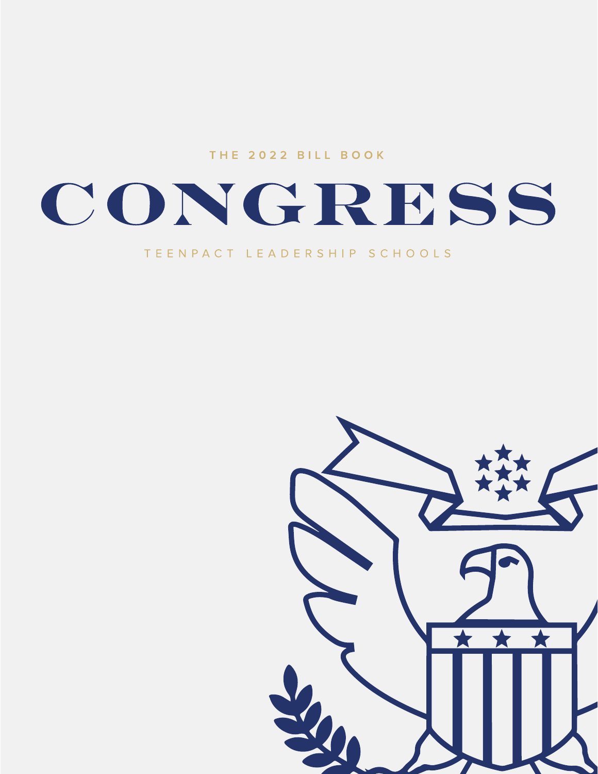THE 2022 BILL BOOK

# CONGRESS

#### TEENPACT LEADERSHIP SCHOOLS

 $\mathbf{r}$ ★★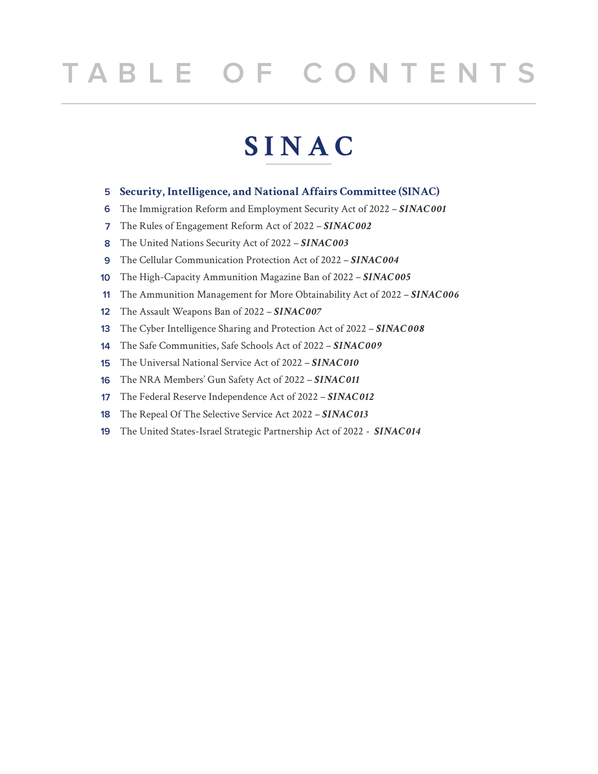## **TABLE OF CONTENTS**

## **SINAC**

- **5 Security, Intelligence, and National Affairs Committee (SINAC)**
- **6** The Immigration Reform and Employment Security Act of 2022 – *SINAC 001*
- **7** The Rules of Engagement Reform Act of 2022 *SINAC 002*
- **8** The United Nations Security Act of 2022 – *SINAC 003*
- **9** The Cellular Communication Protection Act of 2022 – *SINAC 004*
- **10** The High-Capacity Ammunition Magazine Ban of 2022 – *SINAC 005*
- **11** The Ammunition Management for More Obtainability Act of 2022 – *SINAC 006*
- **12** The Assault Weapons Ban of 2022 – *SINAC 007*
- **13** The Cyber Intelligence Sharing and Protection Act of 2022 – *SINAC 008*
- **14** The Safe Communities, Safe Schools Act of 2022 – *SINAC 009*
- **15** The Universal National Service Act of 2022 – *SINAC 010*
- **16** The NRA Members' Gun Safety Act of 2022 – *SINAC 011*
- **17** The Federal Reserve Independence Act of 2022 – *SINAC 012*
- **18** The Repeal Of The Selective Service Act 2022 – *SINAC 013*
- **19** The United States-Israel Strategic Partnership Act of 2022 - *SINAC 014*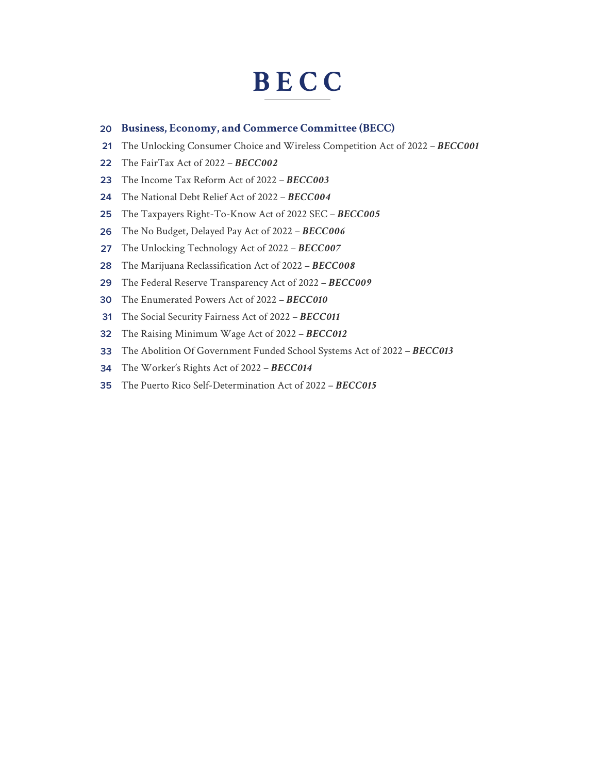## **BECC**

#### **20 Business, Economy, and Commerce Committee (BECC)**

- **21** The Unlocking Consumer Choice and Wireless Competition Act of 2022 – *BECC001*
- **22** The FairTax Act of 2022 – *BECC002*
- **23** The Income Tax Reform Act of 2022 – *BECC003*
- **24** The National Debt Relief Act of 2022 – *BECC004*
- **25** The Taxpayers Right-To-Know Act of 2022 SEC – *BECC005*
- **26** The No Budget, Delayed Pay Act of 2022 – *BECC006*
- **27** The Unlocking Technology Act of 2022 – *BECC007*
- **28** The Marijuana Reclassification Act of 2022 – *BECC008*
- **29** The Federal Reserve Transparency Act of 2022 – *BECC009*
- **30** The Enumerated Powers Act of 2022 – *BECC010*
- **31** The Social Security Fairness Act of 2022 – *BECC011*
- **32** The Raising Minimum Wage Act of 2022 – *BECC012*
- **33** The Abolition Of Government Funded School Systems Act of 2022 – *BECC013*
- **34** The Worker's Rights Act of 2022 – *BECC014*
- **35** The Puerto Rico Self-Determination Act of 2022 – *BECC015*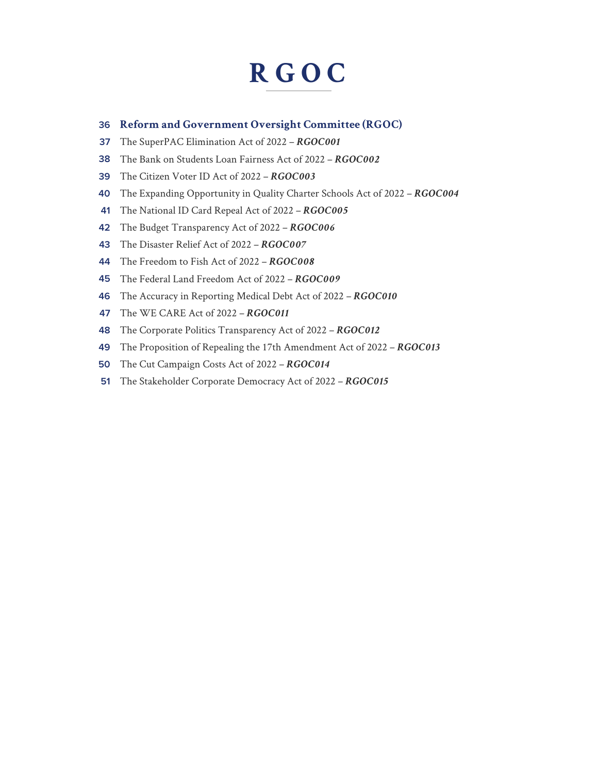## **RGOC**

#### **36 Reform and Government Oversight Committee (RGOC)**

- **37** The SuperPAC Elimination Act of 2022 – *RGOC001*
- **38** The Bank on Students Loan Fairness Act of 2022 – *RGOC002*
- **39** The Citizen Voter ID Act of 2022 – *RGOC003*
- **40** The Expanding Opportunity in Quality Charter Schools Act of 2022 – *RGOC004*
- **41** The National ID Card Repeal Act of 2022 – *RGOC005*
- **42** The Budget Transparency Act of 2022 – *RGOC006*
- **43** The Disaster Relief Act of 2022 – *RGOC007*
- **44** The Freedom to Fish Act of 2022 – *RGOC008*
- **45** The Federal Land Freedom Act of 2022 – *RGOC009*
- **46** The Accuracy in Reporting Medical Debt Act of 2022 – *RGOC010*
- **47** The WE CARE Act of 2022 – *RGOC011*
- **48** The Corporate Politics Transparency Act of 2022 – *RGOC012*
- **49** The Proposition of Repealing the 17th Amendment Act of 2022 – *RGOC013*
- **50** The Cut Campaign Costs Act of 2022 – *RGOC014*
- **51** The Stakeholder Corporate Democracy Act of 2022 – *RGOC015*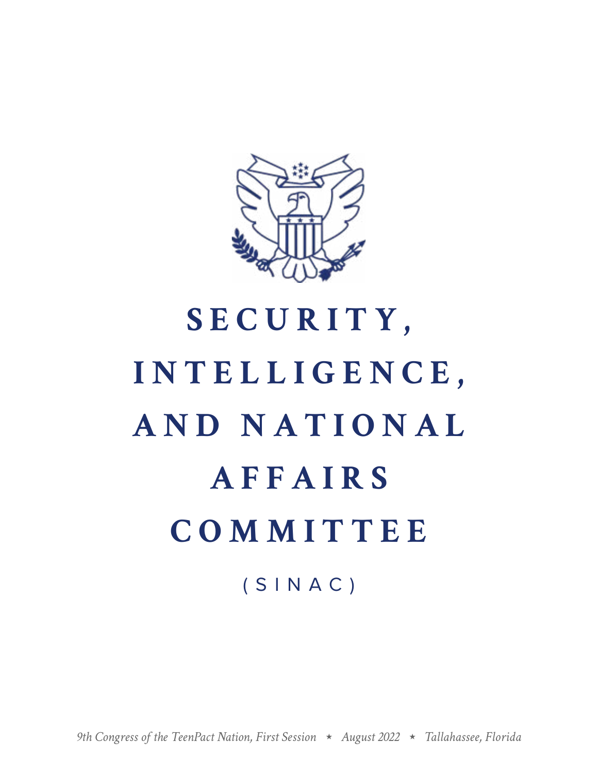

# **S E C U R I T Y , INTELLIGENCE, A N D N A T I O N A L AFFAIRS COMMITTEE** (SINAC)

*9th Congress of the TeenPact Nation, First Session August 2022 Tallahassee, Florida*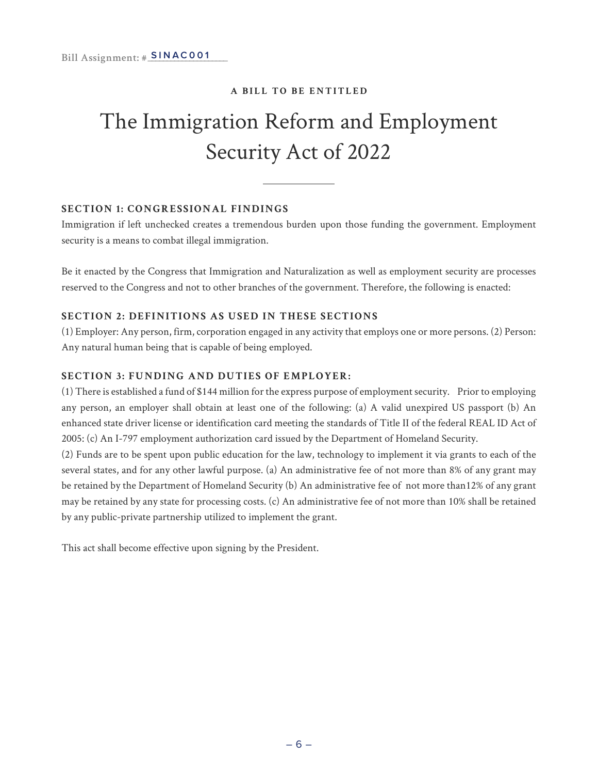### The Immigration Reform and Employment Security Act of 2022

#### **SECTION 1: CONGRESSIONAL FINDINGS**

Immigration if left unchecked creates a tremendous burden upon those funding the government. Employment security is a means to combat illegal immigration.

Be it enacted by the Congress that Immigration and Naturalization as well as employment security are processes reserved to the Congress and not to other branches of the government. Therefore, the following is enacted:

#### **SECTION 2: DEFINITIONS AS USED IN THESE SECTIONS**

(1) Employer: Any person, firm, corporation engaged in any activity that employs one or more persons. (2) Person: Any natural human being that is capable of being employed.

#### **SECTION 3: FUNDING AND DUTIES OF EMPLOYER:**

(1) There is established a fund of \$144 million for the express purpose of employment security. Prior to employing any person, an employer shall obtain at least one of the following: (a) A valid unexpired US passport (b) An enhanced state driver license or identification card meeting the standards of Title II of the federal REAL ID Act of 2005: (c) An I-797 employment authorization card issued by the Department of Homeland Security.

(2) Funds are to be spent upon public education for the law, technology to implement it via grants to each of the several states, and for any other lawful purpose. (a) An administrative fee of not more than 8% of any grant may be retained by the Department of Homeland Security (b) An administrative fee of not more than12% of any grant may be retained by any state for processing costs. (c) An administrative fee of not more than 10% shall be retained by any public-private partnership utilized to implement the grant.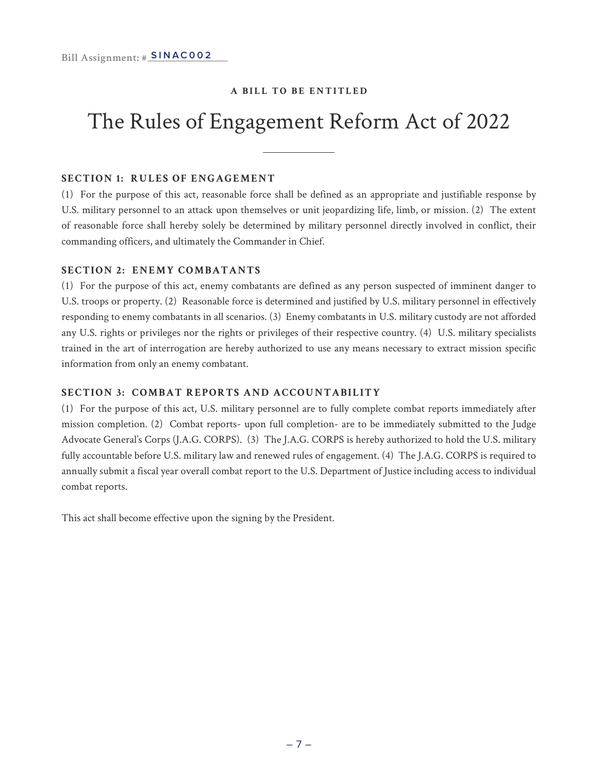### The Rules of Engagement Reform Act of 2022

#### **SECTION 1: RULES OF ENGAGEMENT**

(1) For the purpose of this act, reasonable force shall be defined as an appropriate and justifiable response by U.S. military personnel to an attack upon themselves or unit jeopardizing life, limb, or mission. (2) The extent of reasonable force shall hereby solely be determined by military personnel directly involved in conflict, their commanding officers, and ultimately the Commander in Chief.

#### **SECTION 2: ENEMY COMBATANTS**

(1) For the purpose of this act, enemy combatants are defined as any person suspected of imminent danger to U.S. troops or property. (2) Reasonable force is determined and justified by U.S. military personnel in effectively responding to enemy combatants in all scenarios. (3) Enemy combatants in U.S. military custody are not afforded any U.S. rights or privileges nor the rights or privileges of their respective country. (4) U.S. military specialists trained in the art of interrogation are hereby authorized to use any means necessary to extract mission specific information from only an enemy combatant.

#### **SECTION 3: COMBAT REPORTS AND ACCOUNTABILITY**

(1) For the purpose of this act, U.S. military personnel are to fully complete combat reports immediately after mission completion. (2) Combat reports- upon full completion- are to be immediately submitted to the Judge Advocate General's Corps (J.A.G. CORPS). (3) The J.A.G. CORPS is hereby authorized to hold the U.S. military fully accountable before U.S. military law and renewed rules of engagement. (4) The J.A.G. CORPS is required to annually submit a fiscal year overall combat report to the U.S. Department of Justice including access to individual combat reports.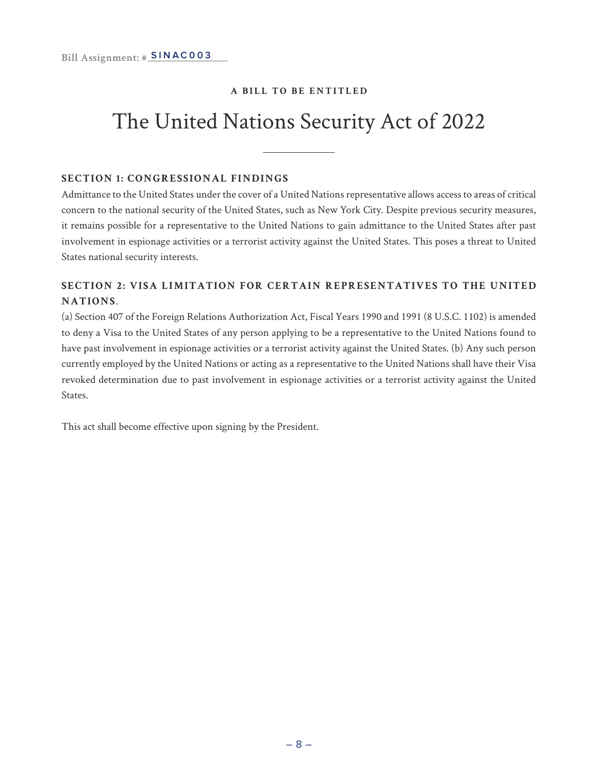### The United Nations Security Act of 2022

#### **SECTION 1: CONGRESSIONAL FINDINGS**

Admittance to the United States under the cover of a United Nations representative allows access to areas of critical concern to the national security of the United States, such as New York City. Despite previous security measures, it remains possible for a representative to the United Nations to gain admittance to the United States after past involvement in espionage activities or a terrorist activity against the United States. This poses a threat to United States national security interests.

#### **SECTION 2: VISA LIMITATION FOR CERTAIN REPRESENTATIVES TO THE UNITED NATIONS**.

(a) Section 407 of the Foreign Relations Authorization Act, Fiscal Years 1990 and 1991 (8 U.S.C. 1102) is amended to deny a Visa to the United States of any person applying to be a representative to the United Nations found to have past involvement in espionage activities or a terrorist activity against the United States. (b) Any such person currently employed by the United Nations or acting as a representative to the United Nations shall have their Visa revoked determination due to past involvement in espionage activities or a terrorist activity against the United States.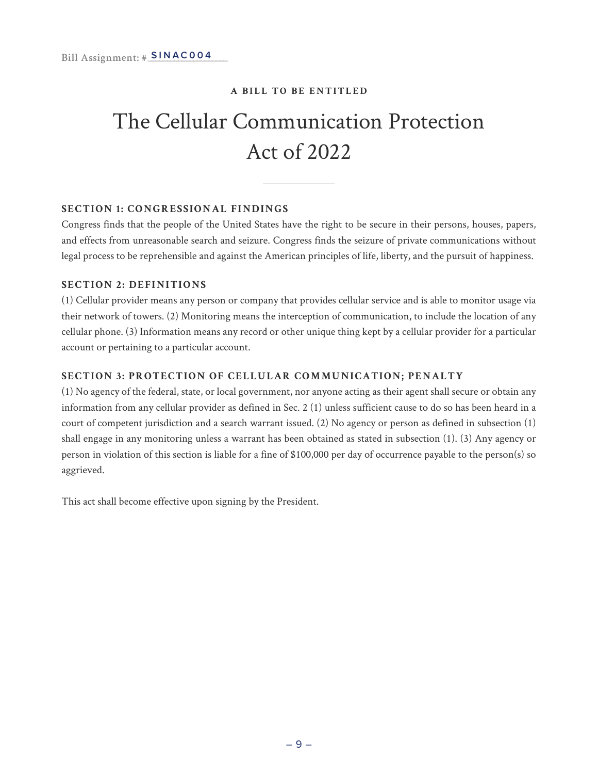### The Cellular Communication Protection Act of 2022

#### **SECTION 1: CONGRESSIONAL FINDINGS**

Congress finds that the people of the United States have the right to be secure in their persons, houses, papers, and effects from unreasonable search and seizure. Congress finds the seizure of private communications without legal process to be reprehensible and against the American principles of life, liberty, and the pursuit of happiness.

#### **SECTION 2: DEFINITIONS**

(1) Cellular provider means any person or company that provides cellular service and is able to monitor usage via their network of towers. (2) Monitoring means the interception of communication, to include the location of any cellular phone. (3) Information means any record or other unique thing kept by a cellular provider for a particular account or pertaining to a particular account.

#### **SECTION 3: PROTECTION OF CELLULAR COMMUNICATION; PENALTY**

(1) No agency of the federal, state, or local government, nor anyone acting as their agent shall secure or obtain any information from any cellular provider as defined in Sec. 2 (1) unless sufficient cause to do so has been heard in a court of competent jurisdiction and a search warrant issued. (2) No agency or person as defined in subsection (1) shall engage in any monitoring unless a warrant has been obtained as stated in subsection (1). (3) Any agency or person in violation of this section is liable for a fine of \$100,000 per day of occurrence payable to the person(s) so aggrieved.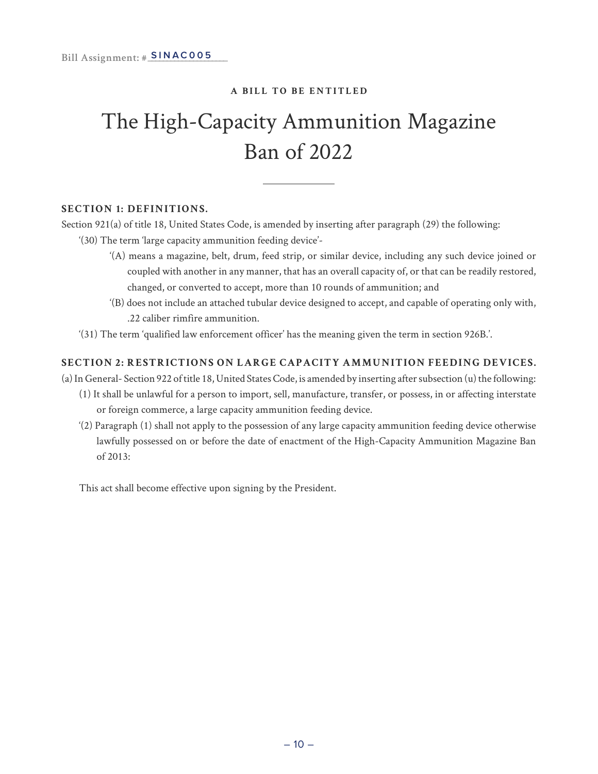### The High-Capacity Ammunition Magazine Ban of 2022

#### **SECTION 1: DEFINITIONS.**

Section 921(a) of title 18, United States Code, is amended by inserting after paragraph (29) the following:

- '(30) The term 'large capacity ammunition feeding device'-
	- '(A) means a magazine, belt, drum, feed strip, or similar device, including any such device joined or coupled with another in any manner, that has an overall capacity of, or that can be readily restored, changed, or converted to accept, more than 10 rounds of ammunition; and
	- '(B) does not include an attached tubular device designed to accept, and capable of operating only with, .22 caliber rimfire ammunition.
- '(31) The term 'qualified law enforcement officer' has the meaning given the term in section 926B.'.

#### **SECTION 2: RESTRICTIONS ON LARGE CAPACITY AMMUNITION FEEDING DEVICES.**

(a) In General- Section 922 of title 18, United States Code, is amended by inserting after subsection (u) the following:

- (1) It shall be unlawful for a person to import, sell, manufacture, transfer, or possess, in or affecting interstate or foreign commerce, a large capacity ammunition feeding device.
- '(2) Paragraph (1) shall not apply to the possession of any large capacity ammunition feeding device otherwise lawfully possessed on or before the date of enactment of the High-Capacity Ammunition Magazine Ban of 2013: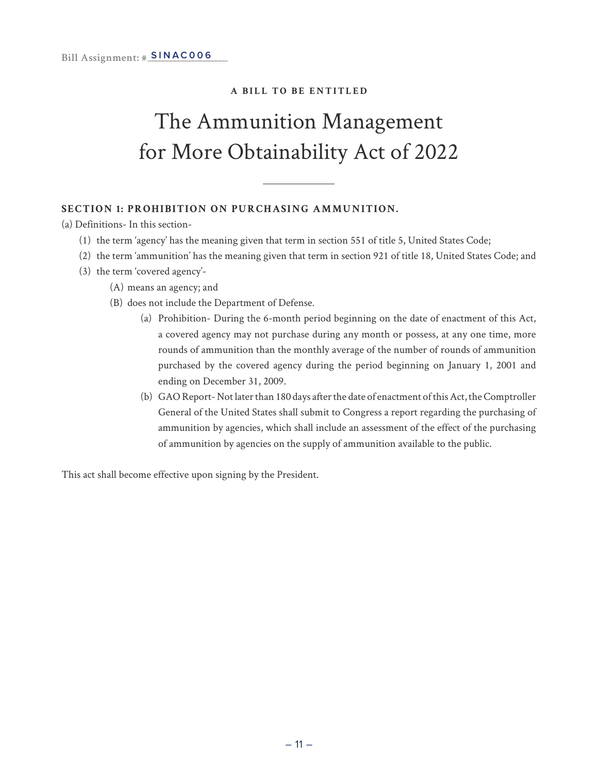### The Ammunition Management for More Obtainability Act of 2022

#### **SECTION 1: PROHIBITION ON PURCHASING AMMUNITION.**

(a) Definitions- In this section-

- (1) the term 'agency' has the meaning given that term in section 551 of title 5, United States Code;
- (2) the term 'ammunition' has the meaning given that term in section 921 of title 18, United States Code; and
- (3) the term 'covered agency'-
	- (A) means an agency; and
	- (B) does not include the Department of Defense.
		- (a) Prohibition- During the 6-month period beginning on the date of enactment of this Act, a covered agency may not purchase during any month or possess, at any one time, more rounds of ammunition than the monthly average of the number of rounds of ammunition purchased by the covered agency during the period beginning on January 1, 2001 and ending on December 31, 2009.
		- (b) GAO Report- Not later than 180 days after the date of enactment of this Act, the Comptroller General of the United States shall submit to Congress a report regarding the purchasing of ammunition by agencies, which shall include an assessment of the effect of the purchasing of ammunition by agencies on the supply of ammunition available to the public.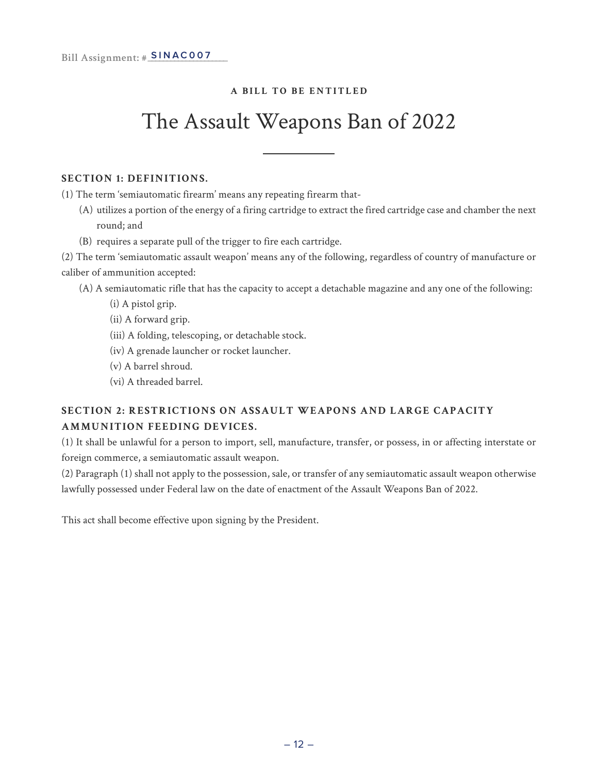### The Assault Weapons Ban of 2022

#### **SECTION 1: DEFINITIONS.**

(1) The term 'semiautomatic firearm' means any repeating firearm that-

- (A) utilizes a portion of the energy of a firing cartridge to extract the fired cartridge case and chamber the next round; and
- (B) requires a separate pull of the trigger to fire each cartridge.

(2) The term 'semiautomatic assault weapon' means any of the following, regardless of country of manufacture or caliber of ammunition accepted:

(A) A semiautomatic rifle that has the capacity to accept a detachable magazine and any one of the following:

- (i) A pistol grip.
- (ii) A forward grip.
- (iii) A folding, telescoping, or detachable stock.
- (iv) A grenade launcher or rocket launcher.
- (v) A barrel shroud.
- (vi) A threaded barrel.

#### **SECTION 2: RESTRICTIONS ON ASSAULT WEAPONS AND LARGE CAPACITY AMMUNITION FEEDING DEVICES.**

(1) It shall be unlawful for a person to import, sell, manufacture, transfer, or possess, in or affecting interstate or foreign commerce, a semiautomatic assault weapon.

(2) Paragraph (1) shall not apply to the possession, sale, or transfer of any semiautomatic assault weapon otherwise lawfully possessed under Federal law on the date of enactment of the Assault Weapons Ban of 2022.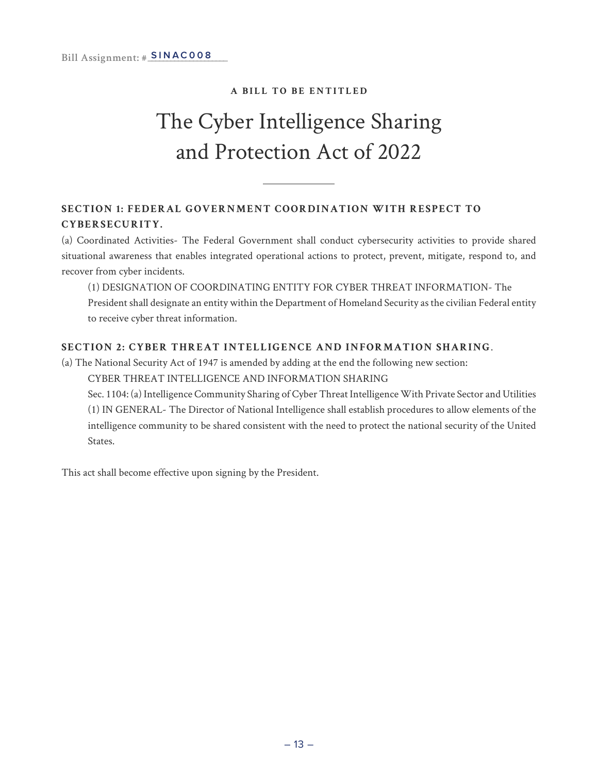### The Cyber Intelligence Sharing and Protection Act of 2022

#### **SECTION 1: FEDERAL GOVERNMENT COORDINATION WITH RESPECT TO CYBERSECURITY.**

(a) Coordinated Activities- The Federal Government shall conduct cybersecurity activities to provide shared situational awareness that enables integrated operational actions to protect, prevent, mitigate, respond to, and recover from cyber incidents.

(1) DESIGNATION OF COORDINATING ENTITY FOR CYBER THREAT INFORMATION- The President shall designate an entity within the Department of Homeland Security as the civilian Federal entity to receive cyber threat information.

#### **SECTION 2: CYBER THREAT INTELLIGENCE AND INFORMATION SHARING**.

(a) The National Security Act of 1947 is amended by adding at the end the following new section:

CYBER THREAT INTELLIGENCE AND INFORMATION SHARING

Sec. 1104: (a) Intelligence Community Sharing of Cyber Threat Intelligence With Private Sector and Utilities (1) IN GENERAL- The Director of National Intelligence shall establish procedures to allow elements of the intelligence community to be shared consistent with the need to protect the national security of the United States.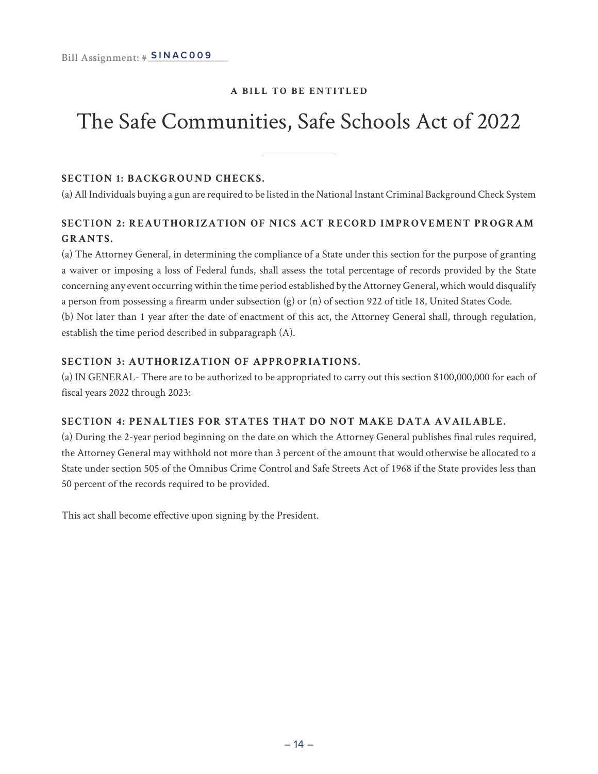### The Safe Communities, Safe Schools Act of 2022

#### **SECTION 1: BACKGROUND CHECKS.**

(a) All Individuals buying a gun are required to be listed in the National Instant Criminal Background Check System

#### **SECTION 2: REAUTHORIZATION OF NICS ACT RECORD IMPROVEMENT PROGRAM GRANTS.**

(a) The Attorney General, in determining the compliance of a State under this section for the purpose of granting a waiver or imposing a loss of Federal funds, shall assess the total percentage of records provided by the State concerning any event occurring within the time period established by the Attorney General, which would disqualify a person from possessing a firearm under subsection (g) or (n) of section 922 of title 18, United States Code. (b) Not later than 1 year after the date of enactment of this act, the Attorney General shall, through regulation, establish the time period described in subparagraph (A).

#### **SECTION 3: AUTHORIZATION OF APPROPRIATIONS.**

(a) IN GENERAL- There are to be authorized to be appropriated to carry out this section \$100,000,000 for each of fiscal years 2022 through 2023:

#### **SECTION 4: PENALTIES FOR STATES THAT DO NOT MAKE DATA AVAILABLE.**

(a) During the 2-year period beginning on the date on which the Attorney General publishes final rules required, the Attorney General may withhold not more than 3 percent of the amount that would otherwise be allocated to a State under section 505 of the Omnibus Crime Control and Safe Streets Act of 1968 if the State provides less than 50 percent of the records required to be provided.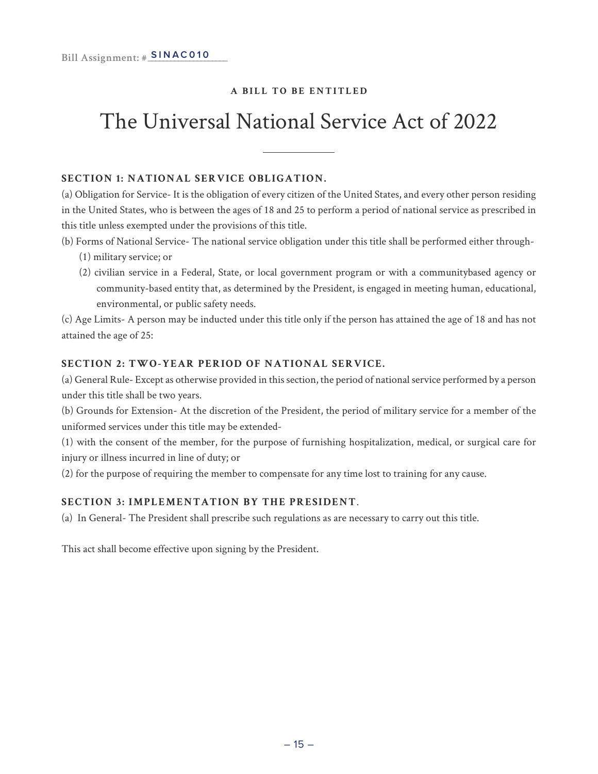### The Universal National Service Act of 2022

#### **SECTION 1: NATIONAL SERVICE OBLIGATION.**

(a) Obligation for Service- It is the obligation of every citizen of the United States, and every other person residing in the United States, who is between the ages of 18 and 25 to perform a period of national service as prescribed in this title unless exempted under the provisions of this title.

(b) Forms of National Service- The national service obligation under this title shall be performed either through-

- (1) military service; or
- (2) civilian service in a Federal, State, or local government program or with a communitybased agency or community-based entity that, as determined by the President, is engaged in meeting human, educational, environmental, or public safety needs.

(c) Age Limits- A person may be inducted under this title only if the person has attained the age of 18 and has not attained the age of 25:

#### **SECTION 2: TWO-YEAR PERIOD OF NATIONAL SERVICE.**

(a) General Rule- Except as otherwise provided in this section, the period of national service performed by a person under this title shall be two years.

(b) Grounds for Extension- At the discretion of the President, the period of military service for a member of the uniformed services under this title may be extended-

(1) with the consent of the member, for the purpose of furnishing hospitalization, medical, or surgical care for injury or illness incurred in line of duty; or

(2) for the purpose of requiring the member to compensate for any time lost to training for any cause.

#### **SECTION 3: IMPLEMENTATION BY THE PRESIDENT**.

(a) In General- The President shall prescribe such regulations as are necessary to carry out this title.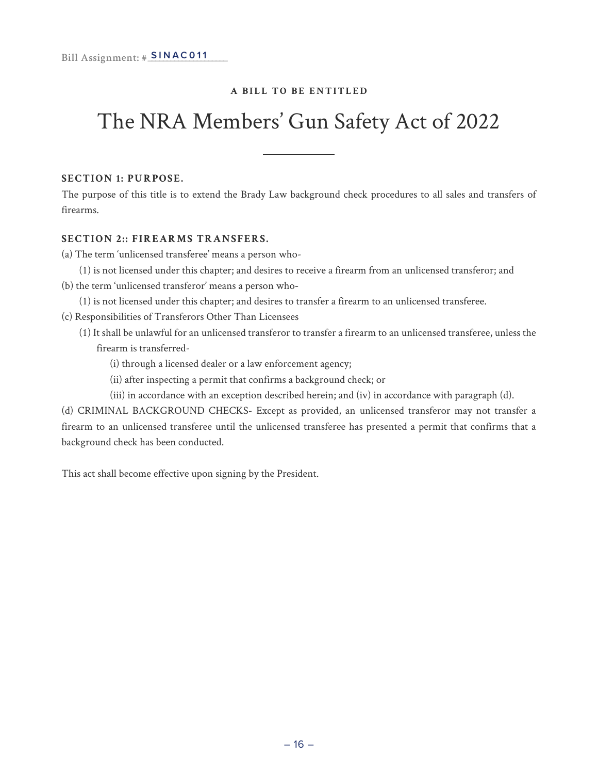### The NRA Members' Gun Safety Act of 2022

#### **SECTION 1: PURPOSE.**

The purpose of this title is to extend the Brady Law background check procedures to all sales and transfers of firearms.

#### **SECTION 2:: FIREARMS TRANSFERS.**

(a) The term 'unlicensed transferee' means a person who-

- (1) is not licensed under this chapter; and desires to receive a firearm from an unlicensed transferor; and
- (b) the term 'unlicensed transferor' means a person who-
	- (1) is not licensed under this chapter; and desires to transfer a firearm to an unlicensed transferee.
- (c) Responsibilities of Transferors Other Than Licensees
	- (1) It shall be unlawful for an unlicensed transferor to transfer a firearm to an unlicensed transferee, unless the firearm is transferred-
		- (i) through a licensed dealer or a law enforcement agency;
		- (ii) after inspecting a permit that confirms a background check; or
		- (iii) in accordance with an exception described herein; and (iv) in accordance with paragraph (d).

(d) CRIMINAL BACKGROUND CHECKS- Except as provided, an unlicensed transferor may not transfer a firearm to an unlicensed transferee until the unlicensed transferee has presented a permit that confirms that a background check has been conducted.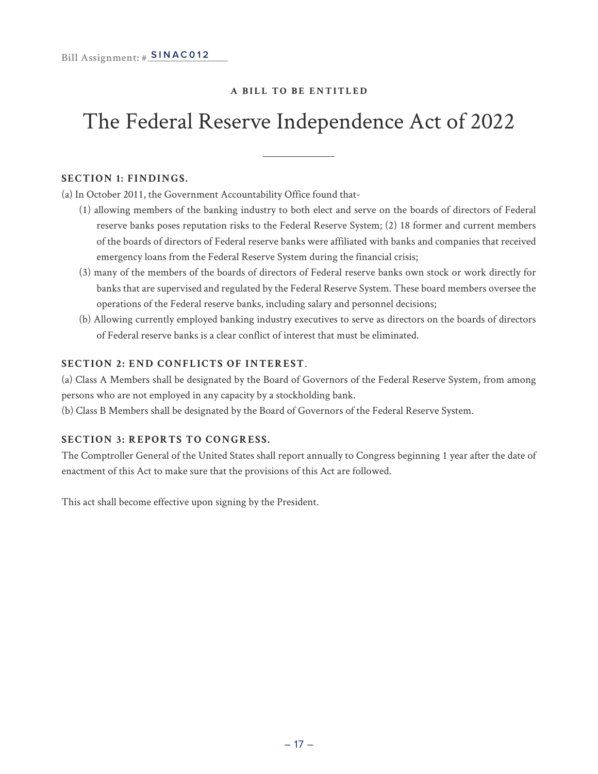### The Federal Reserve Independence Act of 2022

#### **SECTION 1: FINDINGS.**

(a) In October 2011, the Government Accountability Office found that-

- (1) allowing members of the banking industry to both elect and serve on the boards of directors of Federal reserve banks poses reputation risks to the Federal Reserve System; (2) 18 former and current members of the boards of directors of Federal reserve banks were affiliated with banks and companies that received emergency loans from the Federal Reserve System during the financial crisis;
- (3) many of the members of the boards of directors of Federal reserve banks own stock or work directly for banks that are supervised and regulated by the Federal Reserve System. These board members oversee the operations of the Federal reserve banks, including salary and personnel decisions;
- (b) Allowing currently employed banking industry executives to serve as directors on the boards of directors of Federal reserve banks is a clear conflict of interest that must be eliminated.

#### **SECTION 2: END CONFLICTS OF INTEREST**.

(a) Class A Members shall be designated by the Board of Governors of the Federal Reserve System, from among persons who are not employed in any capacity by a stockholding bank.

(b) Class B Members shall be designated by the Board of Governors of the Federal Reserve System.

#### **SECTION 3: REPORTS TO CONGRESS.**

The Comptroller General of the United States shall report annually to Congress beginning 1 year after the date of enactment of this Act to make sure that the provisions of this Act are followed.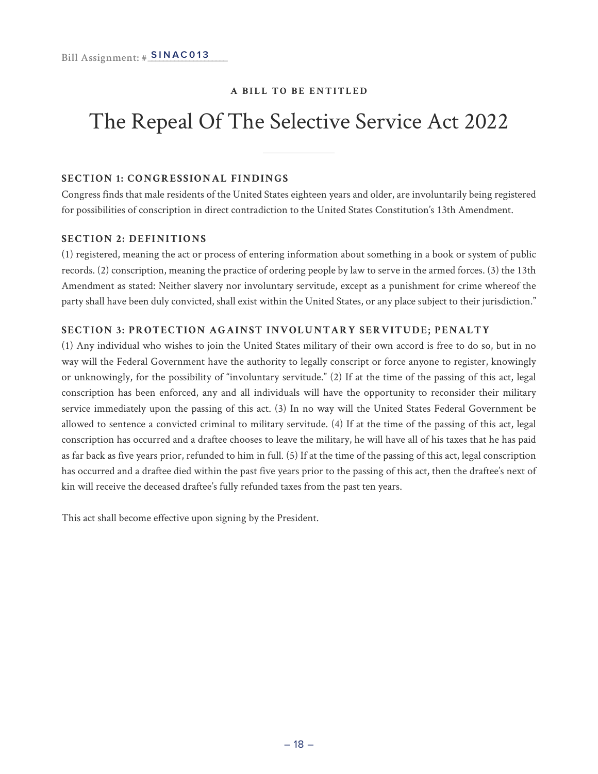### The Repeal Of The Selective Service Act 2022

#### **SECTION 1: CONGRESSIONAL FINDINGS**

Congress finds that male residents of the United States eighteen years and older, are involuntarily being registered for possibilities of conscription in direct contradiction to the United States Constitution's 13th Amendment.

#### **SECTION 2: DEFINITIONS**

(1) registered, meaning the act or process of entering information about something in a book or system of public records. (2) conscription, meaning the practice of ordering people by law to serve in the armed forces. (3) the 13th Amendment as stated: Neither slavery nor involuntary servitude, except as a punishment for crime whereof the party shall have been duly convicted, shall exist within the United States, or any place subject to their jurisdiction."

#### **SECTION 3: PROTECTION AGAINST INVOLUNTARY SERVITUDE; PENALTY**

(1) Any individual who wishes to join the United States military of their own accord is free to do so, but in no way will the Federal Government have the authority to legally conscript or force anyone to register, knowingly or unknowingly, for the possibility of "involuntary servitude." (2) If at the time of the passing of this act, legal conscription has been enforced, any and all individuals will have the opportunity to reconsider their military service immediately upon the passing of this act. (3) In no way will the United States Federal Government be allowed to sentence a convicted criminal to military servitude. (4) If at the time of the passing of this act, legal conscription has occurred and a draftee chooses to leave the military, he will have all of his taxes that he has paid as far back as five years prior, refunded to him in full. (5) If at the time of the passing of this act, legal conscription has occurred and a draftee died within the past five years prior to the passing of this act, then the draftee's next of kin will receive the deceased draftee's fully refunded taxes from the past ten years.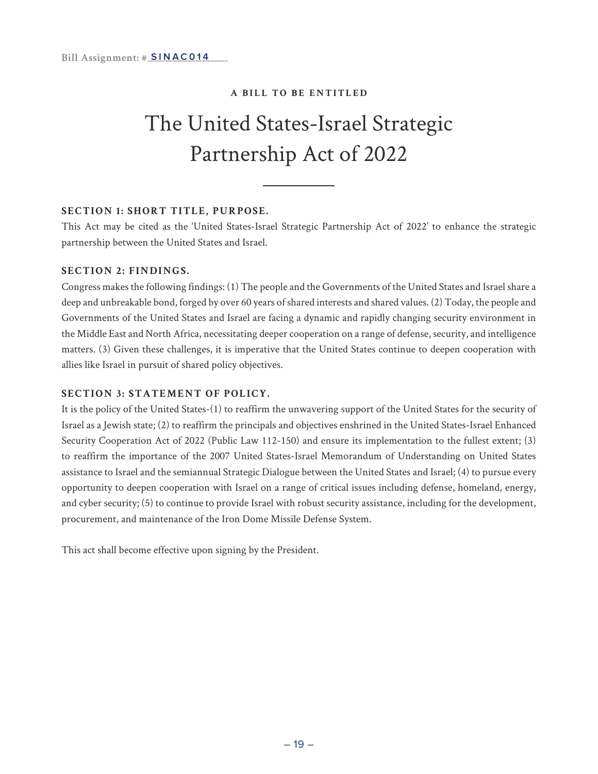### The United States-Israel Strategic Partnership Act of 2022

#### **SECTION 1: SHORT TITLE, PURPOSE.**

This Act may be cited as the 'United States-Israel Strategic Partnership Act of 2022' to enhance the strategic partnership between the United States and Israel.

#### **SECTION 2: FINDINGS.**

Congress makes the following findings: (1) The people and the Governments of the United States and Israel share a deep and unbreakable bond, forged by over 60 years of shared interests and shared values. (2) Today, the people and Governments of the United States and Israel are facing a dynamic and rapidly changing security environment in the Middle East and North Africa, necessitating deeper cooperation on a range of defense, security, and intelligence matters. (3) Given these challenges, it is imperative that the United States continue to deepen cooperation with allies like Israel in pursuit of shared policy objectives.

#### **SECTION 3: STATEMENT OF POLICY.**

It is the policy of the United States-(1) to reaffirm the unwavering support of the United States for the security of Israel as a Jewish state; (2) to reaffirm the principals and objectives enshrined in the United States-Israel Enhanced Security Cooperation Act of 2022 (Public Law 112-150) and ensure its implementation to the fullest extent; (3) to reaffirm the importance of the 2007 United States-Israel Memorandum of Understanding on United States assistance to Israel and the semiannual Strategic Dialogue between the United States and Israel; (4) to pursue every opportunity to deepen cooperation with Israel on a range of critical issues including defense, homeland, energy, and cyber security; (5) to continue to provide Israel with robust security assistance, including for the development, procurement, and maintenance of the Iron Dome Missile Defense System.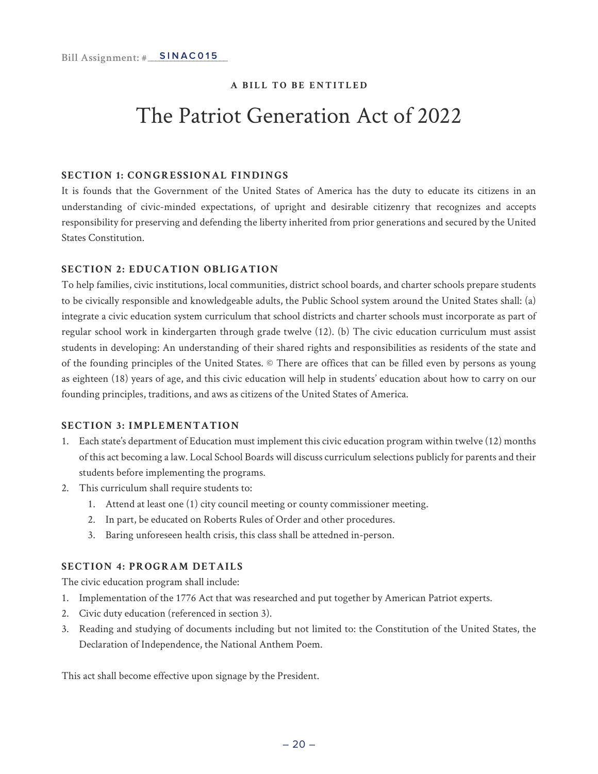### The Patriot Generation Act of 2022

#### **SECTION 1: CONGRESSIONAL FINDINGS**

It is founds that the Government of the United States of America has the duty to educate its citizens in an understanding of civic-minded expectations, of upright and desirable citizenry that recognizes and accepts responsibility for preserving and defending the liberty inherited from prior generations and secured by the United States Constitution.

#### **SECTION 2: EDUCATION OBLIGATION**

To help families, civic institutions, local communities, district school boards, and charter schools prepare students to be civically responsible and knowledgeable adults, the Public School system around the United States shall: (a) integrate a civic education system curriculum that school districts and charter schools must incorporate as part of regular school work in kindergarten through grade twelve (12). (b) The civic education curriculum must assist students in developing: An understanding of their shared rights and responsibilities as residents of the state and of the founding principles of the United States. © There are offices that can be filled even by persons as young as eighteen (18) years of age, and this civic education will help in students' education about how to carry on our founding principles, traditions, and aws as citizens of the United States of America.

#### **SECTION 3: IMPLEMENTATION**

- 1. Each state's department of Education must implement this civic education program within twelve (12) months of this act becoming a law. Local School Boards will discuss curriculum selections publicly for parents and their students before implementing the programs.
- 2. This curriculum shall require students to:
	- 1. Attend at least one (1) city council meeting or county commissioner meeting.
	- 2. In part, be educated on Roberts Rules of Order and other procedures.
	- 3. Baring unforeseen health crisis, this class shall be attedned in-person.

#### **SECTION 4: PROGRAM DETAILS**

The civic education program shall include:

- 1. Implementation of the 1776 Act that was researched and put together by American Patriot experts.
- 2. Civic duty education (referenced in section 3).
- 3. Reading and studying of documents including but not limited to: the Constitution of the United States, the Declaration of Independence, the National Anthem Poem.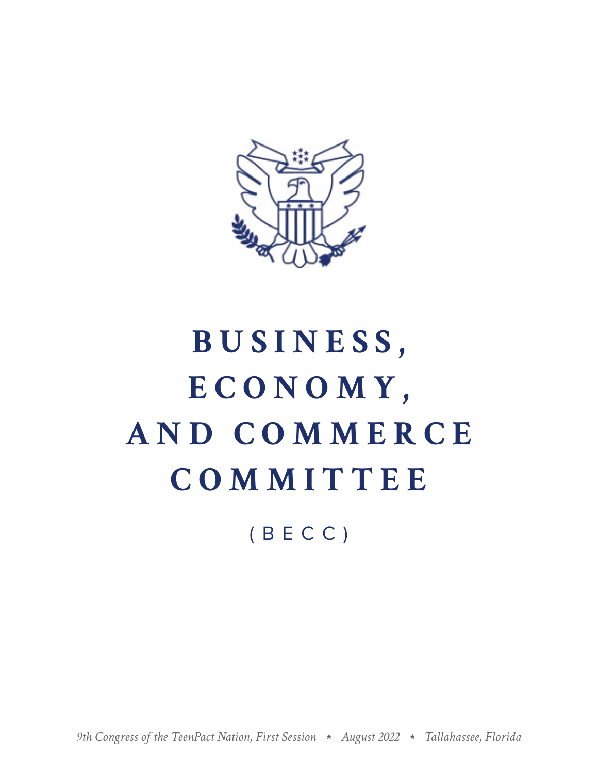

# **BUSINESS, ECONOMY, AND COMMERCE COMMITTEE**

(BECC)

*9th Congress of the TeenPact Nation, First Session August 2022 Tallahassee, Florida*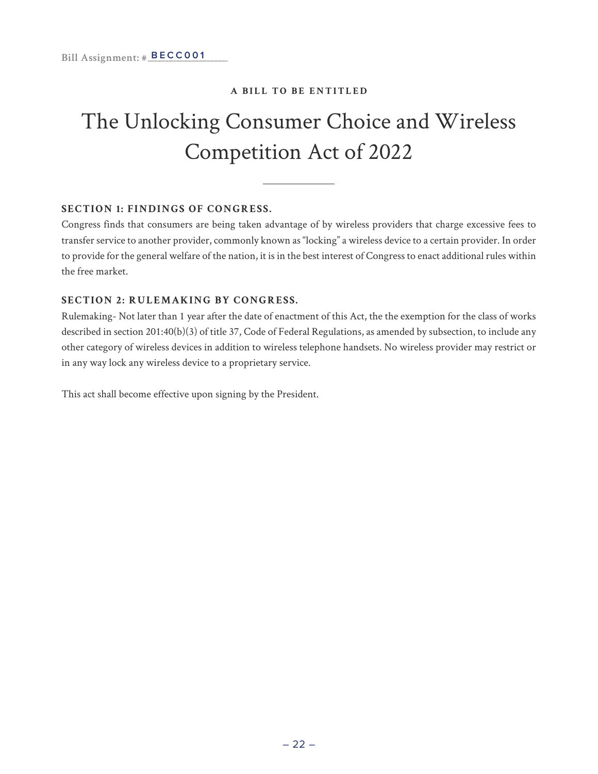### The Unlocking Consumer Choice and Wireless Competition Act of 2022

#### **SECTION 1: FINDINGS OF CONGRESS.**

Congress finds that consumers are being taken advantage of by wireless providers that charge excessive fees to transfer service to another provider, commonly known as "locking" a wireless device to a certain provider. In order to provide for the general welfare of the nation, it is in the best interest of Congress to enact additional rules within the free market.

#### **SECTION 2: RULEMAKING BY CONGRESS.**

Rulemaking- Not later than 1 year after the date of enactment of this Act, the the exemption for the class of works described in section 201:40(b)(3) of title 37, Code of Federal Regulations, as amended by subsection, to include any other category of wireless devices in addition to wireless telephone handsets. No wireless provider may restrict or in any way lock any wireless device to a proprietary service.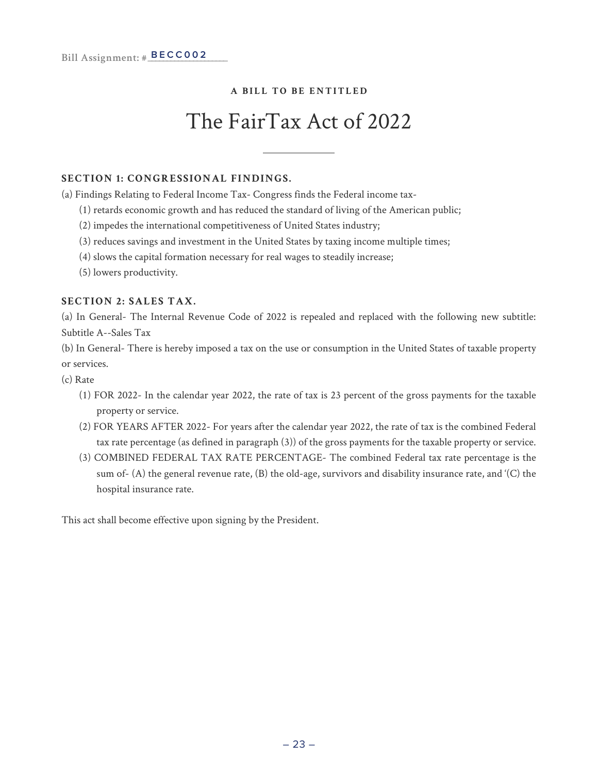### The FairTax Act of 2022

#### **SECTION 1: CONGRESSIONAL FINDINGS.**

(a) Findings Relating to Federal Income Tax- Congress finds the Federal income tax-

- (1) retards economic growth and has reduced the standard of living of the American public;
- (2) impedes the international competitiveness of United States industry;
- (3) reduces savings and investment in the United States by taxing income multiple times;
- (4) slows the capital formation necessary for real wages to steadily increase;
- (5) lowers productivity.

#### **SECTION 2: SALES TAX.**

(a) In General- The Internal Revenue Code of 2022 is repealed and replaced with the following new subtitle: Subtitle A--Sales Tax

(b) In General- There is hereby imposed a tax on the use or consumption in the United States of taxable property or services.

- (c) Rate
	- (1) FOR 2022- In the calendar year 2022, the rate of tax is 23 percent of the gross payments for the taxable property or service.
	- (2) FOR YEARS AFTER 2022- For years after the calendar year 2022, the rate of tax is the combined Federal tax rate percentage (as defined in paragraph (3)) of the gross payments for the taxable property or service.
	- (3) COMBINED FEDERAL TAX RATE PERCENTAGE- The combined Federal tax rate percentage is the sum of- (A) the general revenue rate, (B) the old-age, survivors and disability insurance rate, and '(C) the hospital insurance rate.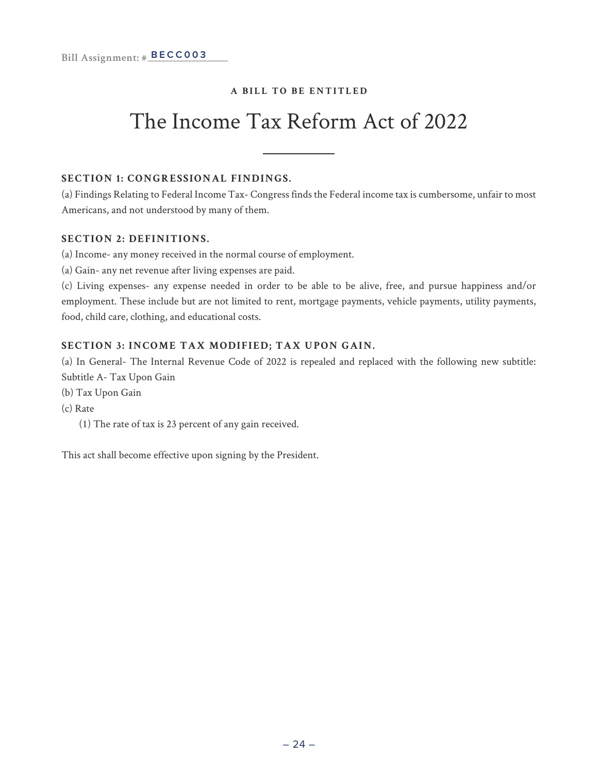### The Income Tax Reform Act of 2022

#### **SECTION 1: CONGRESSIONAL FINDINGS.**

(a) Findings Relating to Federal Income Tax- Congress finds the Federal income tax is cumbersome, unfair to most Americans, and not understood by many of them.

#### **SECTION 2: DEFINITIONS.**

(a) Income- any money received in the normal course of employment.

(a) Gain- any net revenue after living expenses are paid.

(c) Living expenses- any expense needed in order to be able to be alive, free, and pursue happiness and/or employment. These include but are not limited to rent, mortgage payments, vehicle payments, utility payments, food, child care, clothing, and educational costs.

#### **SECTION 3: INCOME TAX MODIFIED; TAX UPON GAIN.**

(a) In General- The Internal Revenue Code of 2022 is repealed and replaced with the following new subtitle: Subtitle A- Tax Upon Gain

(b) Tax Upon Gain

(c) Rate

(1) The rate of tax is 23 percent of any gain received.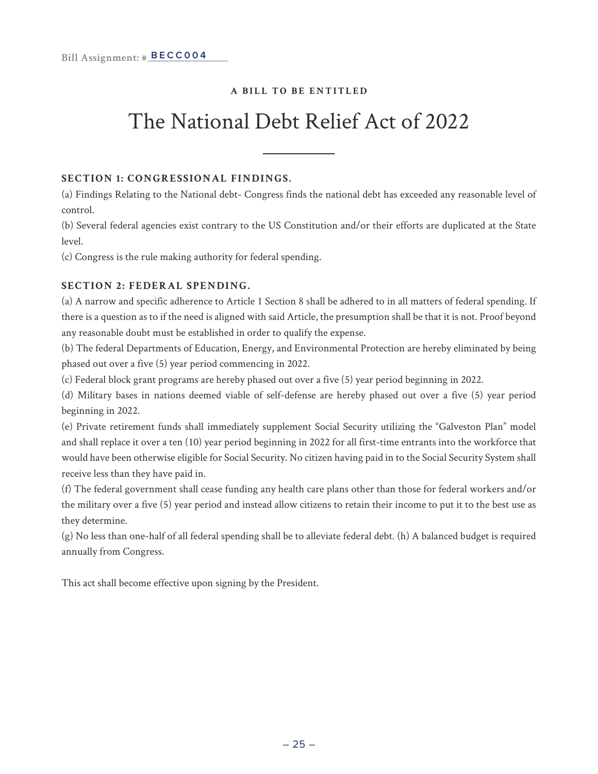### The National Debt Relief Act of 2022

#### **SECTION 1: CONGRESSIONAL FINDINGS.**

(a) Findings Relating to the National debt- Congress finds the national debt has exceeded any reasonable level of control.

(b) Several federal agencies exist contrary to the US Constitution and/or their efforts are duplicated at the State level.

(c) Congress is the rule making authority for federal spending.

#### **SECTION 2: FEDERAL SPENDING.**

(a) A narrow and specific adherence to Article 1 Section 8 shall be adhered to in all matters of federal spending. If there is a question as to if the need is aligned with said Article, the presumption shall be that it is not. Proof beyond any reasonable doubt must be established in order to qualify the expense.

(b) The federal Departments of Education, Energy, and Environmental Protection are hereby eliminated by being phased out over a five (5) year period commencing in 2022.

(c) Federal block grant programs are hereby phased out over a five (5) year period beginning in 2022.

(d) Military bases in nations deemed viable of self-defense are hereby phased out over a five (5) year period beginning in 2022.

(e) Private retirement funds shall immediately supplement Social Security utilizing the "Galveston Plan" model and shall replace it over a ten (10) year period beginning in 2022 for all first-time entrants into the workforce that would have been otherwise eligible for Social Security. No citizen having paid in to the Social Security System shall receive less than they have paid in.

(f) The federal government shall cease funding any health care plans other than those for federal workers and/or the military over a five (5) year period and instead allow citizens to retain their income to put it to the best use as they determine.

(g) No less than one-half of all federal spending shall be to alleviate federal debt. (h) A balanced budget is required annually from Congress.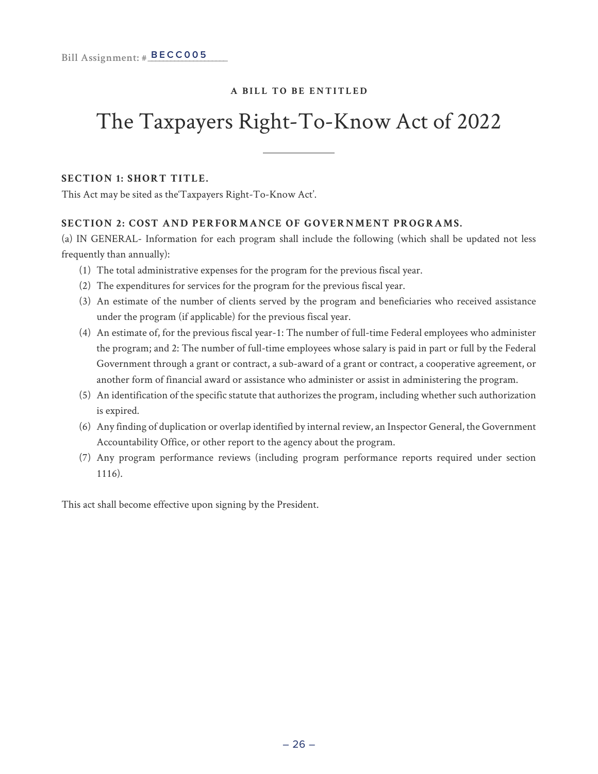### The Taxpayers Right-To-Know Act of 2022

#### **SECTION 1: SHORT TITLE.**

This Act may be sited as the'Taxpayers Right-To-Know Act'.

#### **SECTION 2: COST AND PERFORMANCE OF GOVERNMENT PROGRAMS.**

(a) IN GENERAL- Information for each program shall include the following (which shall be updated not less frequently than annually):

- (1) The total administrative expenses for the program for the previous fiscal year.
- (2) The expenditures for services for the program for the previous fiscal year.
- (3) An estimate of the number of clients served by the program and beneficiaries who received assistance under the program (if applicable) for the previous fiscal year.
- (4) An estimate of, for the previous fiscal year-1: The number of full-time Federal employees who administer the program; and 2: The number of full-time employees whose salary is paid in part or full by the Federal Government through a grant or contract, a sub-award of a grant or contract, a cooperative agreement, or another form of financial award or assistance who administer or assist in administering the program.
- (5) An identification of the specific statute that authorizes the program, including whether such authorization is expired.
- (6) Any finding of duplication or overlap identified by internal review, an Inspector General, the Government Accountability Office, or other report to the agency about the program.
- (7) Any program performance reviews (including program performance reports required under section 1116).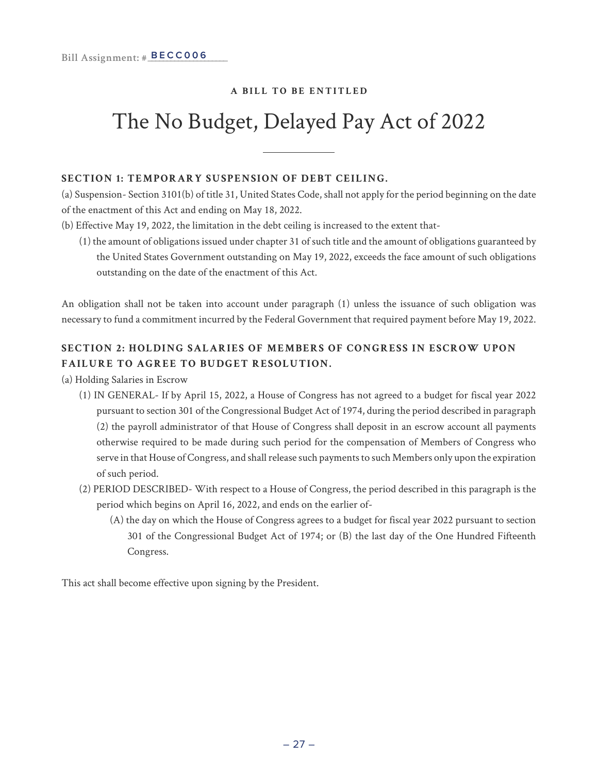### The No Budget, Delayed Pay Act of 2022

#### **SECTION 1: TEMPORARY SUSPENSION OF DEBT CEILING.**

(a) Suspension- Section 3101(b) of title 31, United States Code, shall not apply for the period beginning on the date of the enactment of this Act and ending on May 18, 2022.

- (b) Effective May 19, 2022, the limitation in the debt ceiling is increased to the extent that-
	- (1) the amount of obligations issued under chapter 31 of such title and the amount of obligations guaranteed by the United States Government outstanding on May 19, 2022, exceeds the face amount of such obligations outstanding on the date of the enactment of this Act.

An obligation shall not be taken into account under paragraph (1) unless the issuance of such obligation was necessary to fund a commitment incurred by the Federal Government that required payment before May 19, 2022.

#### **SECTION 2: HOLDING SALARIES OF MEMBERS OF CONGRESS IN ESCROW UPON FAILURE TO AGREE TO BUDGET RESOLUTION.**

(a) Holding Salaries in Escrow

- (1) IN GENERAL- If by April 15, 2022, a House of Congress has not agreed to a budget for fiscal year 2022 pursuant to section 301 of the Congressional Budget Act of 1974, during the period described in paragraph (2) the payroll administrator of that House of Congress shall deposit in an escrow account all payments otherwise required to be made during such period for the compensation of Members of Congress who serve in that House of Congress, and shall release such payments to such Members only upon the expiration of such period.
- (2) PERIOD DESCRIBED- With respect to a House of Congress, the period described in this paragraph is the period which begins on April 16, 2022, and ends on the earlier of-
	- (A) the day on which the House of Congress agrees to a budget for fiscal year 2022 pursuant to section 301 of the Congressional Budget Act of 1974; or (B) the last day of the One Hundred Fifteenth Congress.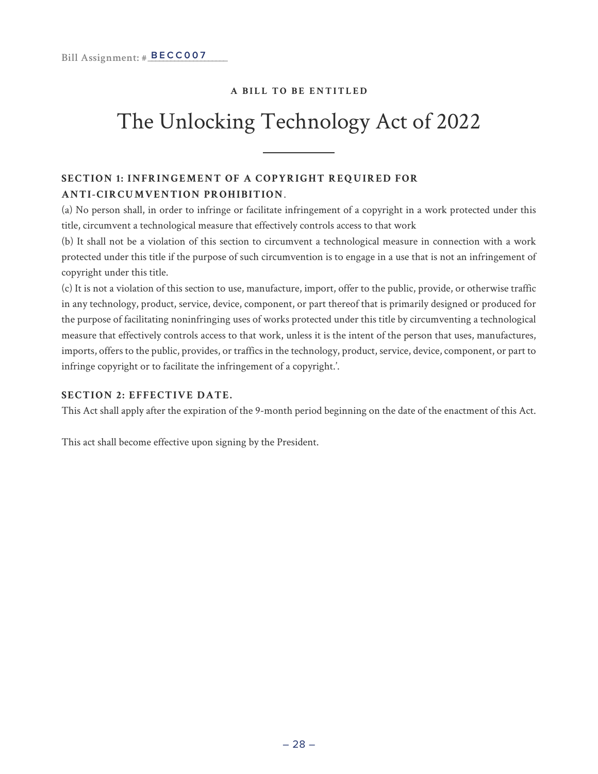### The Unlocking Technology Act of 2022

#### **SECTION 1: INFRINGEMENT OF A COPYRIGHT REQUIRED FOR ANTI-CIRCUMVENTION PROHIBITION**.

(a) No person shall, in order to infringe or facilitate infringement of a copyright in a work protected under this title, circumvent a technological measure that effectively controls access to that work

(b) It shall not be a violation of this section to circumvent a technological measure in connection with a work protected under this title if the purpose of such circumvention is to engage in a use that is not an infringement of copyright under this title.

(c) It is not a violation of this section to use, manufacture, import, offer to the public, provide, or otherwise traffic in any technology, product, service, device, component, or part thereof that is primarily designed or produced for the purpose of facilitating noninfringing uses of works protected under this title by circumventing a technological measure that effectively controls access to that work, unless it is the intent of the person that uses, manufactures, imports, offers to the public, provides, or traffics in the technology, product, service, device, component, or part to infringe copyright or to facilitate the infringement of a copyright.'.

#### **SECTION 2: EFFECTIVE DATE.**

This Act shall apply after the expiration of the 9-month period beginning on the date of the enactment of this Act.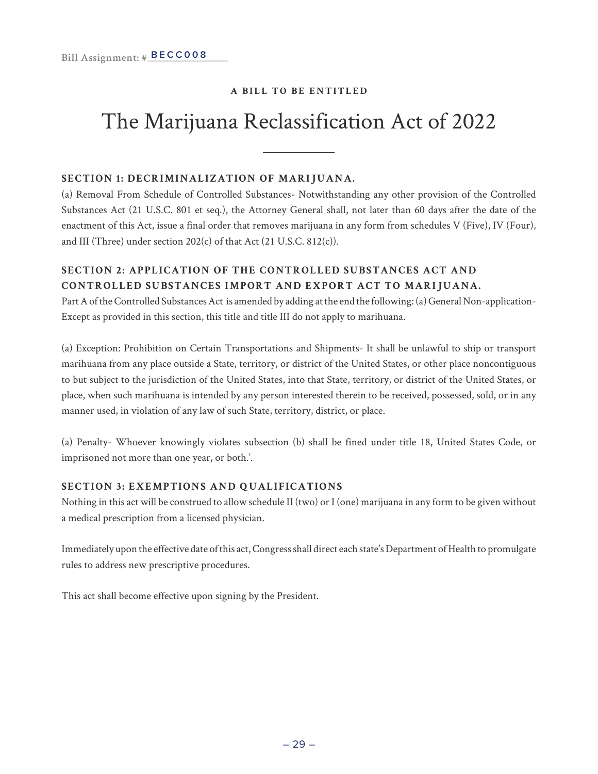### The Marijuana Reclassification Act of 2022

#### **SECTION 1: DECRIMINALIZATION OF MARIJUANA.**

(a) Removal From Schedule of Controlled Substances- Notwithstanding any other provision of the Controlled Substances Act (21 U.S.C. 801 et seq.), the Attorney General shall, not later than 60 days after the date of the enactment of this Act, issue a final order that removes marijuana in any form from schedules V (Five), IV (Four), and III (Three) under section 202(c) of that Act (21 U.S.C. 812(c)).

#### **SECTION 2: APPLICATION OF THE CONTROLLED SUBSTANCES ACT AND CONTROLLED SUBSTANCES IMPORT AND EXPORT ACT TO MARIJUANA.**

Part A of the Controlled Substances Act is amended by adding at the end the following: (a) General Non-application-Except as provided in this section, this title and title III do not apply to marihuana.

(a) Exception: Prohibition on Certain Transportations and Shipments- It shall be unlawful to ship or transport marihuana from any place outside a State, territory, or district of the United States, or other place noncontiguous to but subject to the jurisdiction of the United States, into that State, territory, or district of the United States, or place, when such marihuana is intended by any person interested therein to be received, possessed, sold, or in any manner used, in violation of any law of such State, territory, district, or place.

(a) Penalty- Whoever knowingly violates subsection (b) shall be fined under title 18, United States Code, or imprisoned not more than one year, or both.'.

#### **SECTION 3: EXEMPTIONS AND QUALIFICATIONS**

Nothing in this act will be construed to allow schedule II (two) or I (one) marijuana in any form to be given without a medical prescription from a licensed physician.

Immediately upon the effective date of this act, Congress shall direct each state's Department of Health to promulgate rules to address new prescriptive procedures.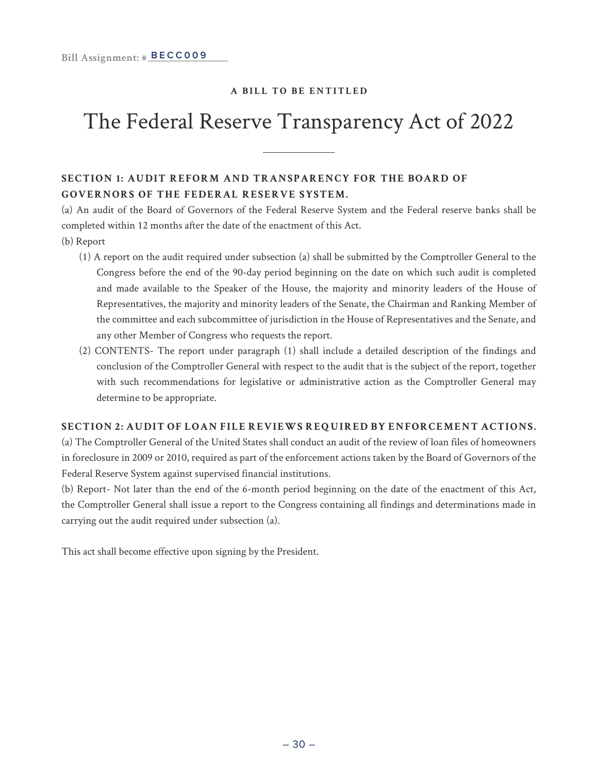### The Federal Reserve Transparency Act of 2022

#### **SECTION 1: AUDIT REFORM AND TRANSPARENCY FOR THE BOARD OF GOVERNORS OF THE FEDERAL RESERVE SYSTEM.**

(a) An audit of the Board of Governors of the Federal Reserve System and the Federal reserve banks shall be completed within 12 months after the date of the enactment of this Act.

- (b) Report
	- (1) A report on the audit required under subsection (a) shall be submitted by the Comptroller General to the Congress before the end of the 90-day period beginning on the date on which such audit is completed and made available to the Speaker of the House, the majority and minority leaders of the House of Representatives, the majority and minority leaders of the Senate, the Chairman and Ranking Member of the committee and each subcommittee of jurisdiction in the House of Representatives and the Senate, and any other Member of Congress who requests the report.
	- (2) CONTENTS- The report under paragraph (1) shall include a detailed description of the findings and conclusion of the Comptroller General with respect to the audit that is the subject of the report, together with such recommendations for legislative or administrative action as the Comptroller General may determine to be appropriate.

#### **SECTION 2: AUDIT OF LOAN FILE REVIEWS REQUIRED BY ENFORCEMENT ACTIONS.**

(a) The Comptroller General of the United States shall conduct an audit of the review of loan files of homeowners in foreclosure in 2009 or 2010, required as part of the enforcement actions taken by the Board of Governors of the Federal Reserve System against supervised financial institutions.

(b) Report- Not later than the end of the 6-month period beginning on the date of the enactment of this Act, the Comptroller General shall issue a report to the Congress containing all findings and determinations made in carrying out the audit required under subsection (a).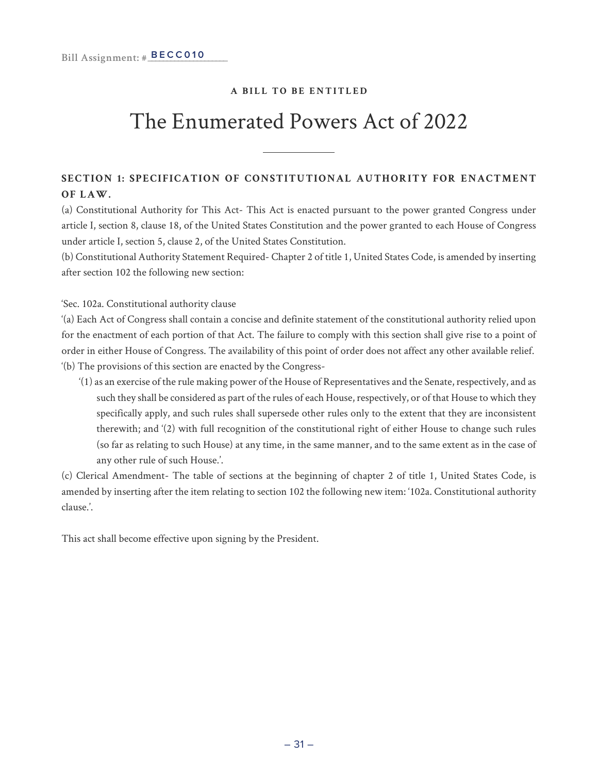### The Enumerated Powers Act of 2022

#### **SECTION 1: SPECIFICATION OF CONSTITUTIONAL AUTHORITY FOR ENACTMENT OF LAW.**

(a) Constitutional Authority for This Act- This Act is enacted pursuant to the power granted Congress under article I, section 8, clause 18, of the United States Constitution and the power granted to each House of Congress under article I, section 5, clause 2, of the United States Constitution.

(b) Constitutional Authority Statement Required- Chapter 2 of title 1, United States Code, is amended by inserting after section 102 the following new section:

'Sec. 102a. Constitutional authority clause

'(a) Each Act of Congress shall contain a concise and definite statement of the constitutional authority relied upon for the enactment of each portion of that Act. The failure to comply with this section shall give rise to a point of order in either House of Congress. The availability of this point of order does not affect any other available relief. '(b) The provisions of this section are enacted by the Congress-

'(1) as an exercise of the rule making power of the House of Representatives and the Senate, respectively, and as such they shall be considered as part of the rules of each House, respectively, or of that House to which they specifically apply, and such rules shall supersede other rules only to the extent that they are inconsistent therewith; and '(2) with full recognition of the constitutional right of either House to change such rules (so far as relating to such House) at any time, in the same manner, and to the same extent as in the case of any other rule of such House.'.

(c) Clerical Amendment- The table of sections at the beginning of chapter 2 of title 1, United States Code, is amended by inserting after the item relating to section 102 the following new item: '102a. Constitutional authority clause.'.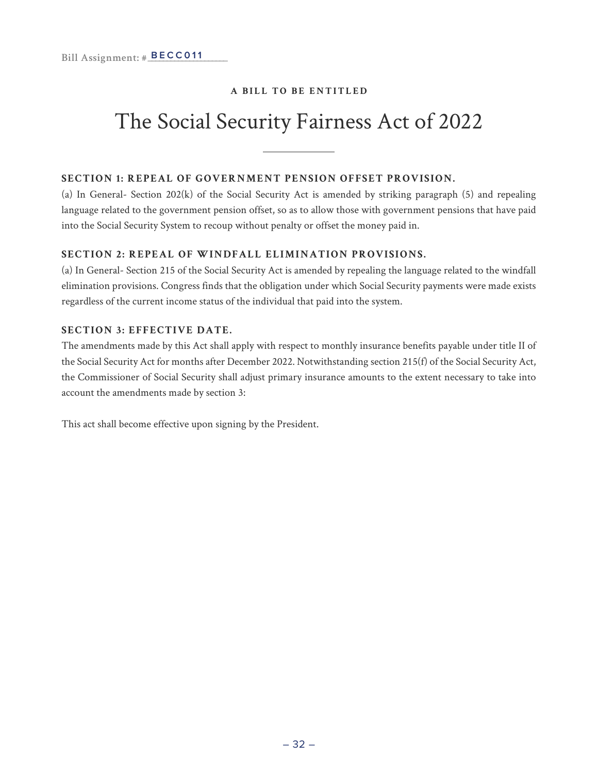### The Social Security Fairness Act of 2022

#### **SECTION 1: REPEAL OF GOVERNMENT PENSION OFFSET PROVISION.**

(a) In General- Section  $202(k)$  of the Social Security Act is amended by striking paragraph (5) and repealing language related to the government pension offset, so as to allow those with government pensions that have paid into the Social Security System to recoup without penalty or offset the money paid in.

#### **SECTION 2: REPEAL OF WINDFALL ELIMINATION PROVISIONS.**

(a) In General- Section 215 of the Social Security Act is amended by repealing the language related to the windfall elimination provisions. Congress finds that the obligation under which Social Security payments were made exists regardless of the current income status of the individual that paid into the system.

#### **SECTION 3: EFFECTIVE DATE.**

The amendments made by this Act shall apply with respect to monthly insurance benefits payable under title II of the Social Security Act for months after December 2022. Notwithstanding section 215(f) of the Social Security Act, the Commissioner of Social Security shall adjust primary insurance amounts to the extent necessary to take into account the amendments made by section 3: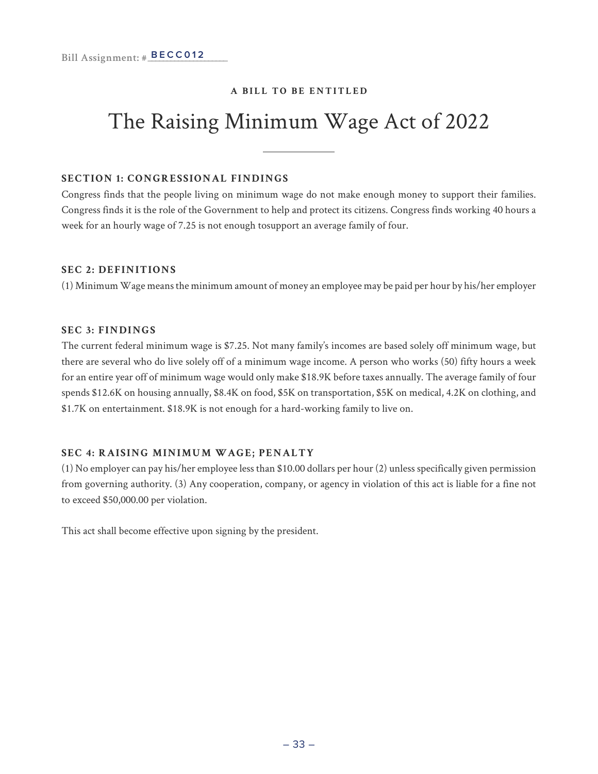### The Raising Minimum Wage Act of 2022

#### **SECTION 1: CONGRESSIONAL FINDINGS**

Congress finds that the people living on minimum wage do not make enough money to support their families. Congress finds it is the role of the Government to help and protect its citizens. Congress finds working 40 hours a week for an hourly wage of 7.25 is not enough tosupport an average family of four.

#### **SEC 2: DEFINITIONS**

(1) Minimum Wage means the minimum amount of money an employee may be paid per hour by his/her employer

#### **SEC 3: FINDINGS**

The current federal minimum wage is \$7.25. Not many family's incomes are based solely off minimum wage, but there are several who do live solely off of a minimum wage income. A person who works (50) fifty hours a week for an entire year off of minimum wage would only make \$18.9K before taxes annually. The average family of four spends \$12.6K on housing annually, \$8.4K on food, \$5K on transportation, \$5K on medical, 4.2K on clothing, and \$1.7K on entertainment. \$18.9K is not enough for a hard-working family to live on.

#### **SEC 4: RAISING MINIMUM WAGE; PENALTY**

(1) No employer can pay his/her employee less than \$10.00 dollars per hour (2) unless specifically given permission from governing authority. (3) Any cooperation, company, or agency in violation of this act is liable for a fine not to exceed \$50,000.00 per violation.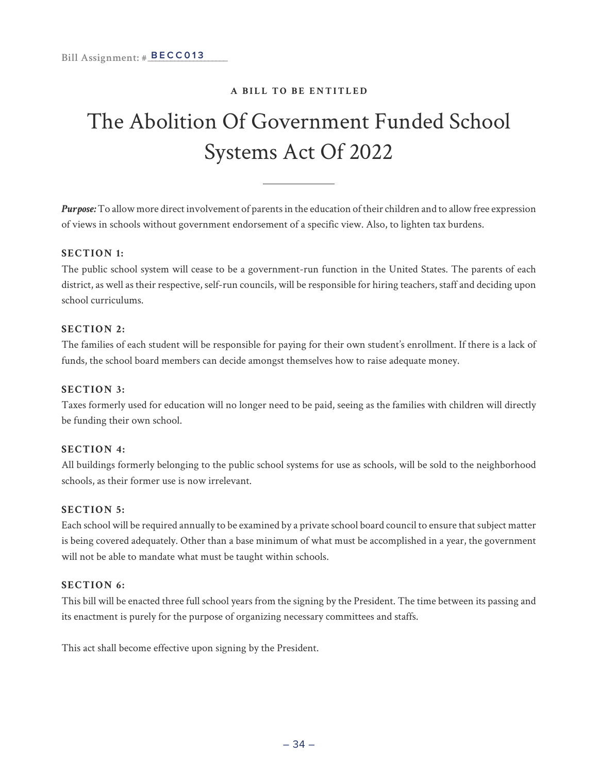### The Abolition Of Government Funded School Systems Act Of 2022

*Purpose:* To allow more direct involvement of parents in the education of their children and to allow free expression of views in schools without government endorsement of a specific view. Also, to lighten tax burdens.

#### **SECTION 1:**

The public school system will cease to be a government-run function in the United States. The parents of each district, as well as their respective, self-run councils, will be responsible for hiring teachers, staff and deciding upon school curriculums.

#### **SECTION 2:**

The families of each student will be responsible for paying for their own student's enrollment. If there is a lack of funds, the school board members can decide amongst themselves how to raise adequate money.

#### **SECTION 3:**

Taxes formerly used for education will no longer need to be paid, seeing as the families with children will directly be funding their own school.

#### **SECTION 4:**

All buildings formerly belonging to the public school systems for use as schools, will be sold to the neighborhood schools, as their former use is now irrelevant.

#### **SECTION 5:**

Each school will be required annually to be examined by a private school board council to ensure that subject matter is being covered adequately. Other than a base minimum of what must be accomplished in a year, the government will not be able to mandate what must be taught within schools.

#### **SECTION 6:**

This bill will be enacted three full school years from the signing by the President. The time between its passing and its enactment is purely for the purpose of organizing necessary committees and staffs.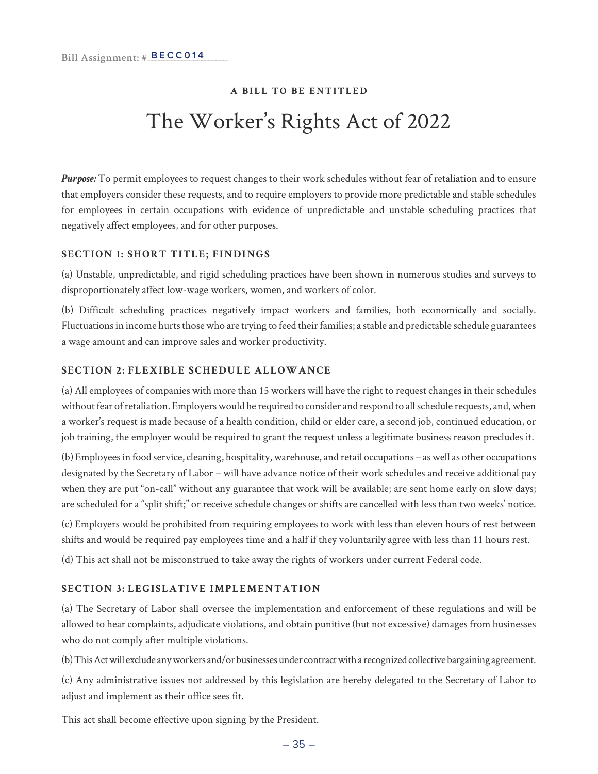### The Worker's Rights Act of 2022

*Purpose:* To permit employees to request changes to their work schedules without fear of retaliation and to ensure that employers consider these requests, and to require employers to provide more predictable and stable schedules for employees in certain occupations with evidence of unpredictable and unstable scheduling practices that negatively affect employees, and for other purposes.

#### **SECTION 1: SHORT TITLE; FINDINGS**

(a) Unstable, unpredictable, and rigid scheduling practices have been shown in numerous studies and surveys to disproportionately affect low-wage workers, women, and workers of color.

(b) Difficult scheduling practices negatively impact workers and families, both economically and socially. Fluctuations in income hurts those who are trying to feed their families; a stable and predictable schedule guarantees a wage amount and can improve sales and worker productivity.

#### **SECTION 2: FLEXIBLE SCHEDULE ALLOWANCE**

(a) All employees of companies with more than 15 workers will have the right to request changes in their schedules without fear of retaliation. Employers would be required to consider and respond to all schedule requests, and, when a worker's request is made because of a health condition, child or elder care, a second job, continued education, or job training, the employer would be required to grant the request unless a legitimate business reason precludes it.

(b) Employees in food service, cleaning, hospitality, warehouse, and retail occupations – as well as other occupations designated by the Secretary of Labor – will have advance notice of their work schedules and receive additional pay when they are put "on-call" without any guarantee that work will be available; are sent home early on slow days; are scheduled for a "split shift;" or receive schedule changes or shifts are cancelled with less than two weeks' notice.

(c) Employers would be prohibited from requiring employees to work with less than eleven hours of rest between shifts and would be required pay employees time and a half if they voluntarily agree with less than 11 hours rest.

(d) This act shall not be misconstrued to take away the rights of workers under current Federal code.

#### **SECTION 3: LEGISLATIVE IMPLEMENTATION**

(a) The Secretary of Labor shall oversee the implementation and enforcement of these regulations and will be allowed to hear complaints, adjudicate violations, and obtain punitive (but not excessive) damages from businesses who do not comply after multiple violations.

(b) This Act will exclude any workers and/or businesses under contract with a recognized collective bargaining agreement.

(c) Any administrative issues not addressed by this legislation are hereby delegated to the Secretary of Labor to adjust and implement as their office sees fit.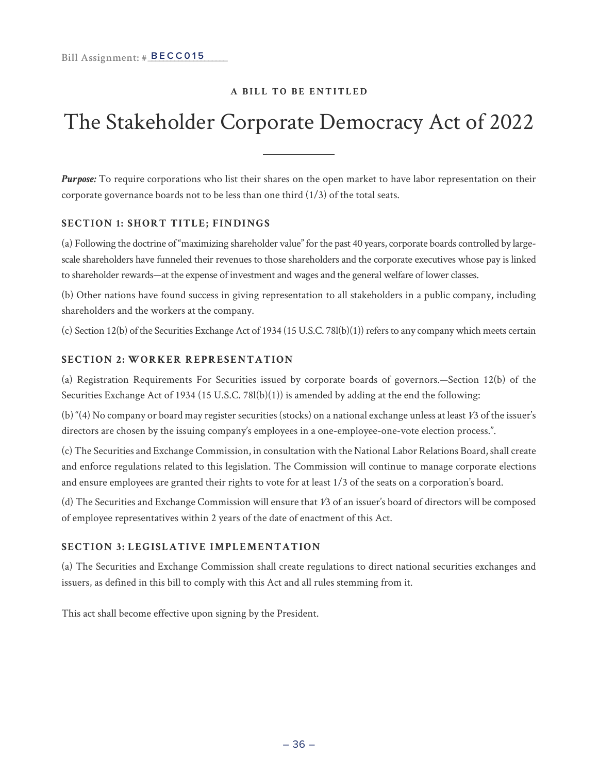### The Stakeholder Corporate Democracy Act of 2022

*Purpose:* To require corporations who list their shares on the open market to have labor representation on their corporate governance boards not to be less than one third (1/3) of the total seats.

#### **SECTION 1: SHORT TITLE; FINDINGS**

(a) Following the doctrine of "maximizing shareholder value" for the past 40 years, corporate boards controlled by largescale shareholders have funneled their revenues to those shareholders and the corporate executives whose pay is linked to shareholder rewards—at the expense of investment and wages and the general welfare of lower classes.

(b) Other nations have found success in giving representation to all stakeholders in a public company, including shareholders and the workers at the company.

(c) Section 12(b) of the Securities Exchange Act of 1934 (15 U.S.C. 78l(b)(1)) refers to any company which meets certain

#### **SECTION 2: WORKER REPRESENTATION**

(a) Registration Requirements For Securities issued by corporate boards of governors.—Section 12(b) of the Securities Exchange Act of 1934 (15 U.S.C. 78l(b)(1)) is amended by adding at the end the following:

(b) "(4) No company or board may register securities (stocks) on a national exchange unless at least 1⁄3 of the issuer's directors are chosen by the issuing company's employees in a one-employee-one-vote election process.".

(c) The Securities and Exchange Commission, in consultation with the National Labor Relations Board, shall create and enforce regulations related to this legislation. The Commission will continue to manage corporate elections and ensure employees are granted their rights to vote for at least 1/3 of the seats on a corporation's board.

(d) The Securities and Exchange Commission will ensure that 1⁄3 of an issuer's board of directors will be composed of employee representatives within 2 years of the date of enactment of this Act.

#### **SECTION 3: LEGISLATIVE IMPLEMENTATION**

(a) The Securities and Exchange Commission shall create regulations to direct national securities exchanges and issuers, as defined in this bill to comply with this Act and all rules stemming from it.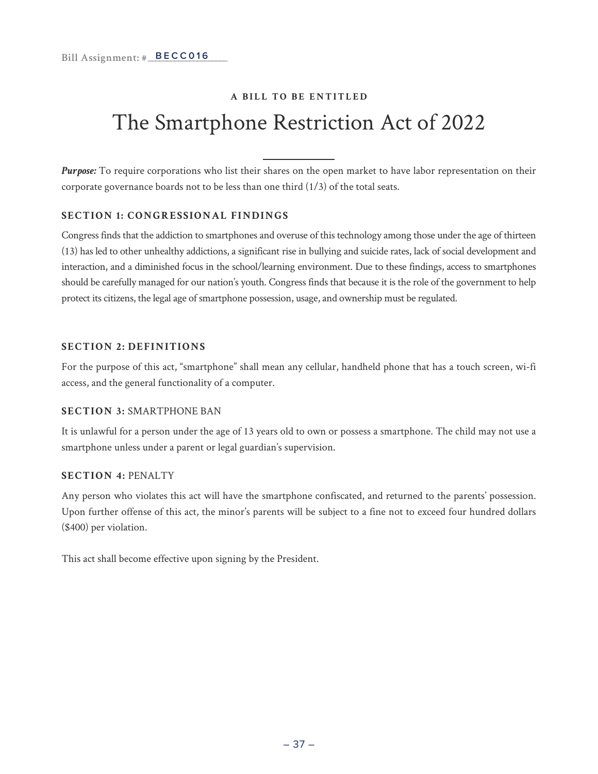### **A BILL TO BE ENTITLED** The Smartphone Restriction Act of 2022

*Purpose:* To require corporations who list their shares on the open market to have labor representation on their corporate governance boards not to be less than one third (1/3) of the total seats.

#### **SECTION 1: CONGRESSIONAL FINDINGS**

Congress finds that the addiction to smartphones and overuse of this technology among those under the age of thirteen (13) has led to other unhealthy addictions, a significant rise in bullying and suicide rates, lack of social development and interaction, and a diminished focus in the school/learning environment. Due to these findings, access to smartphones should be carefully managed for our nation's youth. Congress finds that because it is the role of the government to help protect its citizens, the legal age of smartphone possession, usage, and ownership must be regulated.

#### **SECTION 2: DEFINITIONS**

For the purpose of this act, "smartphone" shall mean any cellular, handheld phone that has a touch screen, wi-fi access, and the general functionality of a computer.

#### **SECTION 3:** SMARTPHONE BAN

It is unlawful for a person under the age of 13 years old to own or possess a smartphone. The child may not use a smartphone unless under a parent or legal guardian's supervision.

#### **SECTION 4:** PENALTY

Any person who violates this act will have the smartphone confiscated, and returned to the parents' possession. Upon further offense of this act, the minor's parents will be subject to a fine not to exceed four hundred dollars (\$400) per violation.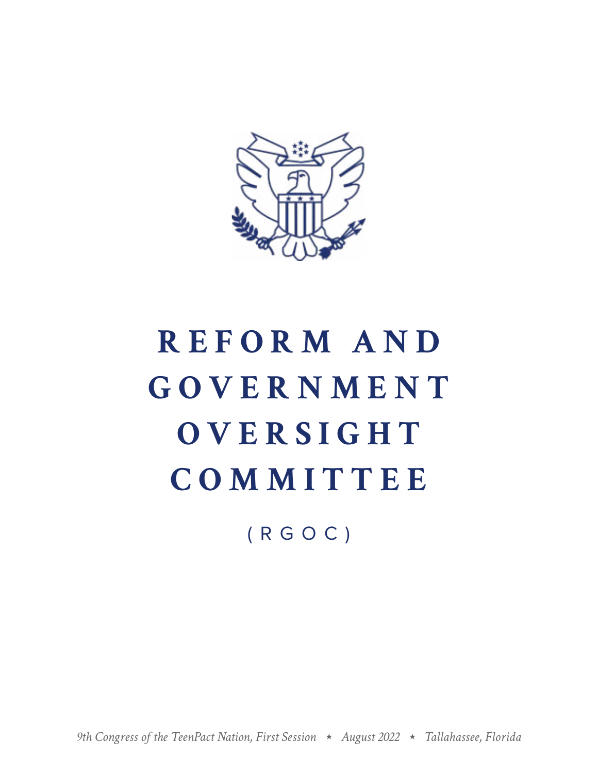

# **R E F O R M A N D G O V E R N M E N T OVERSIGHT COMMITTEE**

(RGOC)

*9th Congress of the TeenPact Nation, First Session August 2022 Tallahassee, Florida*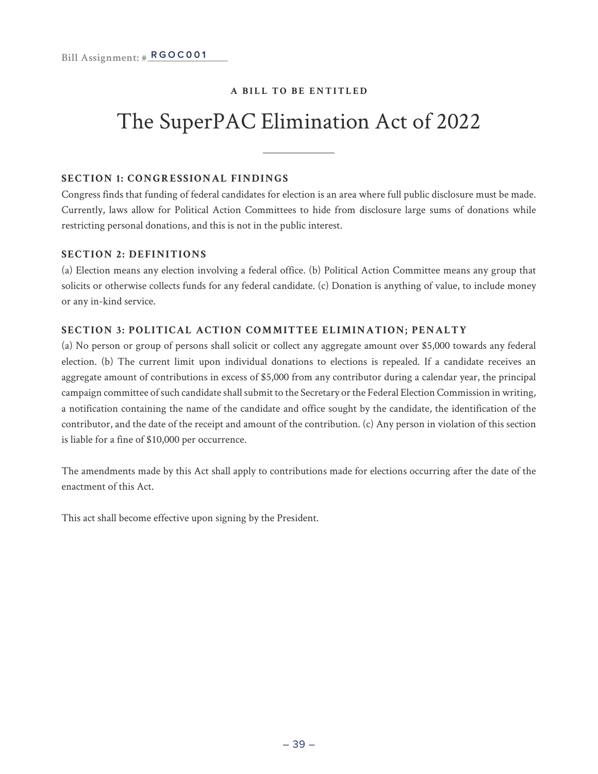### The SuperPAC Elimination Act of 2022

#### **SECTION 1: CONGRESSIONAL FINDINGS**

Congress finds that funding of federal candidates for election is an area where full public disclosure must be made. Currently, laws allow for Political Action Committees to hide from disclosure large sums of donations while restricting personal donations, and this is not in the public interest.

#### **SECTION 2: DEFINITIONS**

(a) Election means any election involving a federal office. (b) Political Action Committee means any group that solicits or otherwise collects funds for any federal candidate. (c) Donation is anything of value, to include money or any in-kind service.

#### **SECTION 3: POLITICAL ACTION COMMITTEE ELIMINATION; PENALTY**

(a) No person or group of persons shall solicit or collect any aggregate amount over \$5,000 towards any federal election. (b) The current limit upon individual donations to elections is repealed. If a candidate receives an aggregate amount of contributions in excess of \$5,000 from any contributor during a calendar year, the principal campaign committee of such candidate shall submit to the Secretary or the Federal Election Commission in writing, a notification containing the name of the candidate and office sought by the candidate, the identification of the contributor, and the date of the receipt and amount of the contribution. (c) Any person in violation of this section is liable for a fine of \$10,000 per occurrence.

The amendments made by this Act shall apply to contributions made for elections occurring after the date of the enactment of this Act.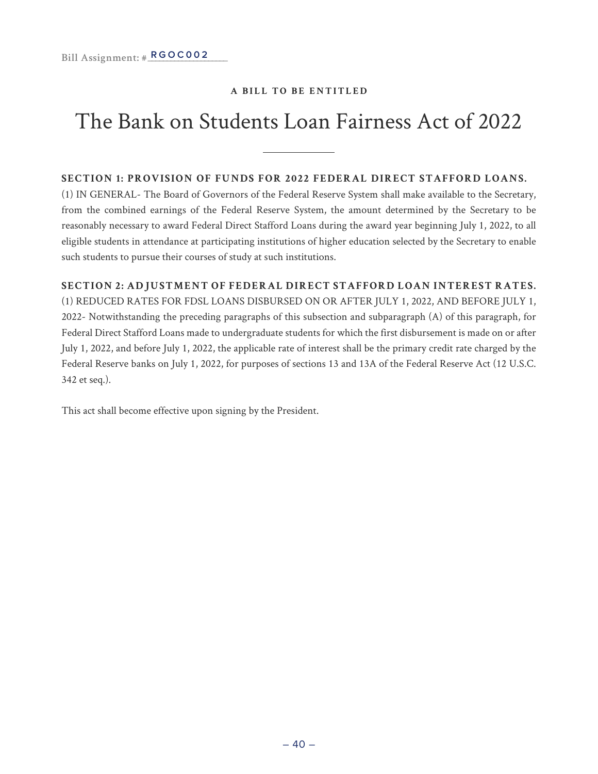### The Bank on Students Loan Fairness Act of 2022

#### **SECTION 1: PROVISION OF FUNDS FOR 2022 FEDERAL DIRECT STAFFORD LOANS.**

(1) IN GENERAL- The Board of Governors of the Federal Reserve System shall make available to the Secretary, from the combined earnings of the Federal Reserve System, the amount determined by the Secretary to be reasonably necessary to award Federal Direct Stafford Loans during the award year beginning July 1, 2022, to all eligible students in attendance at participating institutions of higher education selected by the Secretary to enable such students to pursue their courses of study at such institutions.

#### **SECTION 2: ADJUSTMENT OF FEDERAL DIRECT STAFFORD LOAN INTEREST RATES.**

(1) REDUCED RATES FOR FDSL LOANS DISBURSED ON OR AFTER JULY 1, 2022, AND BEFORE JULY 1, 2022- Notwithstanding the preceding paragraphs of this subsection and subparagraph (A) of this paragraph, for Federal Direct Stafford Loans made to undergraduate students for which the first disbursement is made on or after July 1, 2022, and before July 1, 2022, the applicable rate of interest shall be the primary credit rate charged by the Federal Reserve banks on July 1, 2022, for purposes of sections 13 and 13A of the Federal Reserve Act (12 U.S.C. 342 et seq.).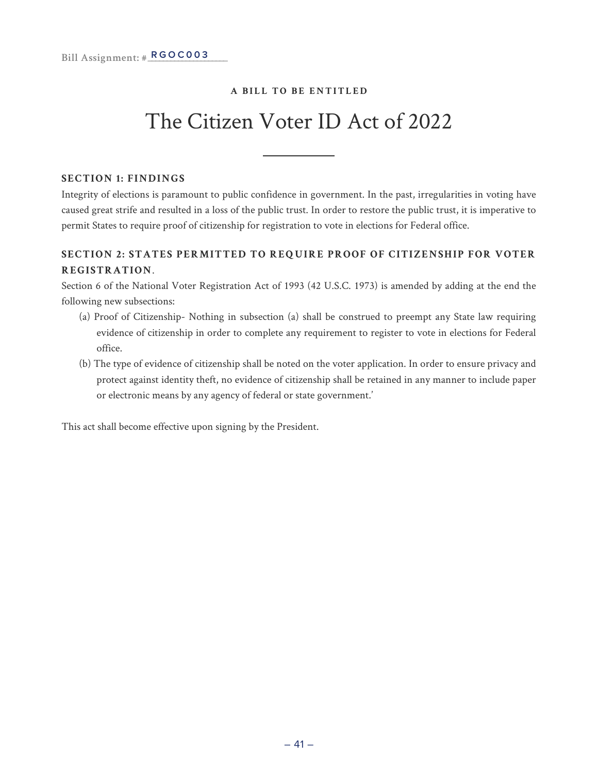### The Citizen Voter ID Act of 2022

#### **SECTION 1: FINDINGS**

Integrity of elections is paramount to public confidence in government. In the past, irregularities in voting have caused great strife and resulted in a loss of the public trust. In order to restore the public trust, it is imperative to permit States to require proof of citizenship for registration to vote in elections for Federal office.

#### **SECTION 2: STATES PERMITTED TO REQUIRE PROOF OF CITIZENSHIP FOR VOTER REGISTRATION**.

Section 6 of the National Voter Registration Act of 1993 (42 U.S.C. 1973) is amended by adding at the end the following new subsections:

- (a) Proof of Citizenship- Nothing in subsection (a) shall be construed to preempt any State law requiring evidence of citizenship in order to complete any requirement to register to vote in elections for Federal office.
- (b) The type of evidence of citizenship shall be noted on the voter application. In order to ensure privacy and protect against identity theft, no evidence of citizenship shall be retained in any manner to include paper or electronic means by any agency of federal or state government.'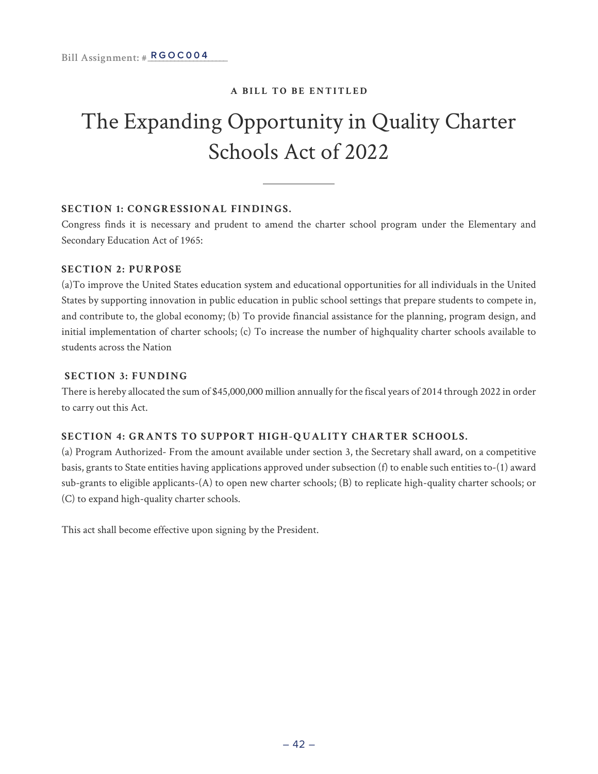### The Expanding Opportunity in Quality Charter Schools Act of 2022

#### **SECTION 1: CONGRESSIONAL FINDINGS.**

Congress finds it is necessary and prudent to amend the charter school program under the Elementary and Secondary Education Act of 1965:

#### **SECTION 2: PURPOSE**

(a)To improve the United States education system and educational opportunities for all individuals in the United States by supporting innovation in public education in public school settings that prepare students to compete in, and contribute to, the global economy; (b) To provide financial assistance for the planning, program design, and initial implementation of charter schools; (c) To increase the number of highquality charter schools available to students across the Nation

#### **SECTION 3: FUNDING**

There is hereby allocated the sum of \$45,000,000 million annually for the fiscal years of 2014 through 2022 in order to carry out this Act.

#### **SECTION 4: GRANTS TO SUPPORT HIGH-QUALITY CHARTER SCHOOLS.**

(a) Program Authorized- From the amount available under section 3, the Secretary shall award, on a competitive basis, grants to State entities having applications approved under subsection (f) to enable such entities to-(1) award sub-grants to eligible applicants-(A) to open new charter schools; (B) to replicate high-quality charter schools; or (C) to expand high-quality charter schools.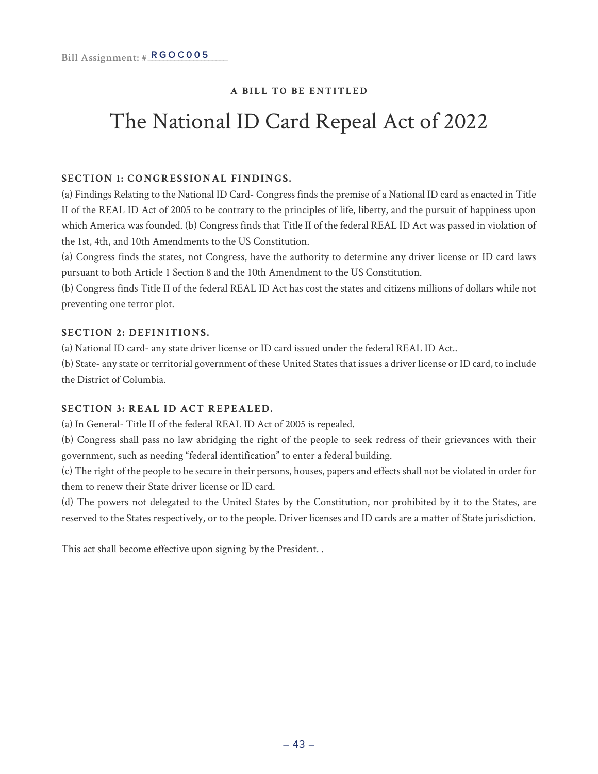### The National ID Card Repeal Act of 2022

#### **SECTION 1: CONGRESSIONAL FINDINGS.**

(a) Findings Relating to the National ID Card- Congress finds the premise of a National ID card as enacted in Title II of the REAL ID Act of 2005 to be contrary to the principles of life, liberty, and the pursuit of happiness upon which America was founded. (b) Congress finds that Title II of the federal REAL ID Act was passed in violation of the 1st, 4th, and 10th Amendments to the US Constitution.

(a) Congress finds the states, not Congress, have the authority to determine any driver license or ID card laws pursuant to both Article 1 Section 8 and the 10th Amendment to the US Constitution.

(b) Congress finds Title II of the federal REAL ID Act has cost the states and citizens millions of dollars while not preventing one terror plot.

#### **SECTION 2: DEFINITIONS.**

(a) National ID card- any state driver license or ID card issued under the federal REAL ID Act..

(b) State- any state or territorial government of these United States that issues a driver license or ID card, to include the District of Columbia.

#### **SECTION 3: REAL ID ACT REPEALED.**

(a) In General- Title II of the federal REAL ID Act of 2005 is repealed.

(b) Congress shall pass no law abridging the right of the people to seek redress of their grievances with their government, such as needing "federal identification" to enter a federal building.

(c) The right of the people to be secure in their persons, houses, papers and effects shall not be violated in order for them to renew their State driver license or ID card.

(d) The powers not delegated to the United States by the Constitution, nor prohibited by it to the States, are reserved to the States respectively, or to the people. Driver licenses and ID cards are a matter of State jurisdiction.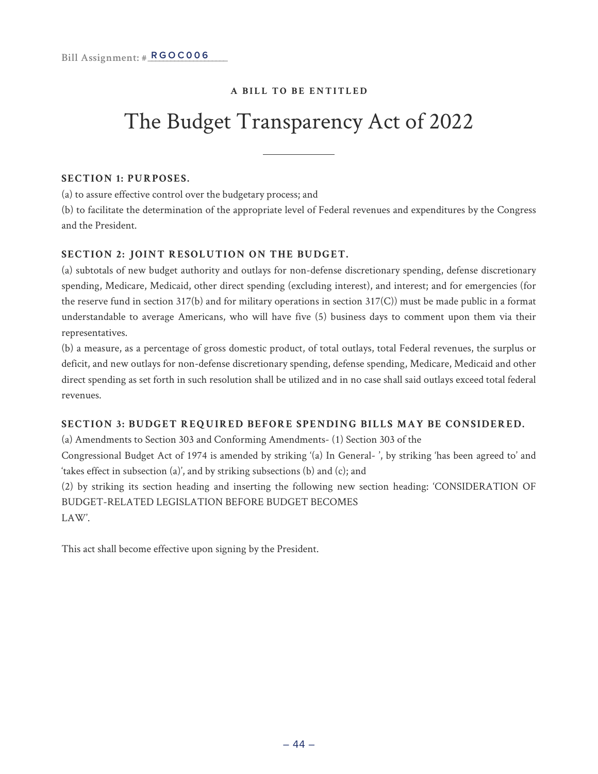### The Budget Transparency Act of 2022

#### **SECTION 1: PURPOSES.**

(a) to assure effective control over the budgetary process; and

(b) to facilitate the determination of the appropriate level of Federal revenues and expenditures by the Congress and the President.

#### **SECTION 2: JOINT RESOLUTION ON THE BUDGET.**

(a) subtotals of new budget authority and outlays for non-defense discretionary spending, defense discretionary spending, Medicare, Medicaid, other direct spending (excluding interest), and interest; and for emergencies (for the reserve fund in section 317(b) and for military operations in section 317(C)) must be made public in a format understandable to average Americans, who will have five (5) business days to comment upon them via their representatives.

(b) a measure, as a percentage of gross domestic product, of total outlays, total Federal revenues, the surplus or deficit, and new outlays for non-defense discretionary spending, defense spending, Medicare, Medicaid and other direct spending as set forth in such resolution shall be utilized and in no case shall said outlays exceed total federal revenues.

#### **SECTION 3: BUDGET REQUIRED BEFORE SPENDING BILLS MAY BE CONSIDERED.**

(a) Amendments to Section 303 and Conforming Amendments- (1) Section 303 of the Congressional Budget Act of 1974 is amended by striking '(a) In General- ', by striking 'has been agreed to' and

'takes effect in subsection (a)', and by striking subsections (b) and (c); and

(2) by striking its section heading and inserting the following new section heading: 'CONSIDERATION OF BUDGET-RELATED LEGISLATION BEFORE BUDGET BECOMES LAW'.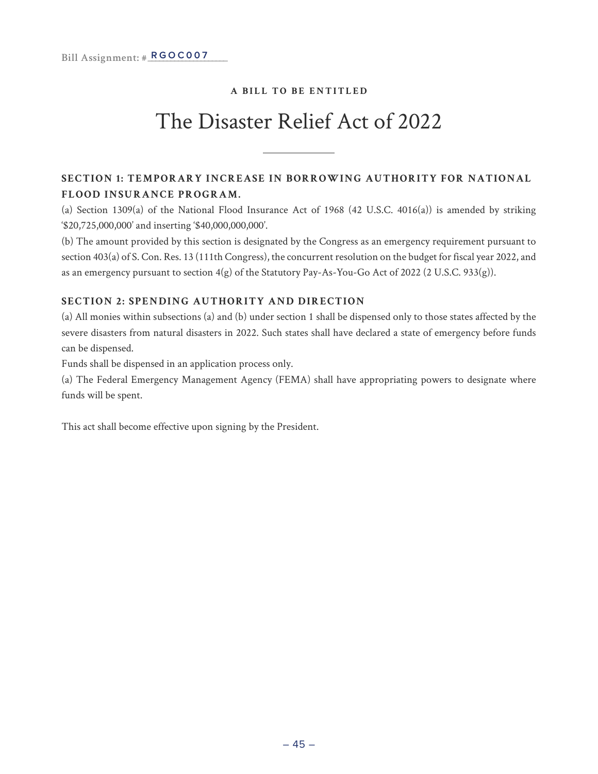### The Disaster Relief Act of 2022

#### **SECTION 1: TEMPORARY INCREASE IN BORROWING AUTHORITY FOR NATIONAL FLOOD INSURANCE PROGRAM.**

(a) Section 1309(a) of the National Flood Insurance Act of 1968 (42 U.S.C. 4016(a)) is amended by striking '\$20,725,000,000' and inserting '\$40,000,000,000'.

(b) The amount provided by this section is designated by the Congress as an emergency requirement pursuant to section 403(a) of S. Con. Res. 13 (111th Congress), the concurrent resolution on the budget for fiscal year 2022, and as an emergency pursuant to section 4(g) of the Statutory Pay-As-You-Go Act of 2022 (2 U.S.C. 933(g)).

#### **SECTION 2: SPENDING AUTHORITY AND DIRECTION**

(a) All monies within subsections (a) and (b) under section 1 shall be dispensed only to those states affected by the severe disasters from natural disasters in 2022. Such states shall have declared a state of emergency before funds can be dispensed.

Funds shall be dispensed in an application process only.

(a) The Federal Emergency Management Agency (FEMA) shall have appropriating powers to designate where funds will be spent.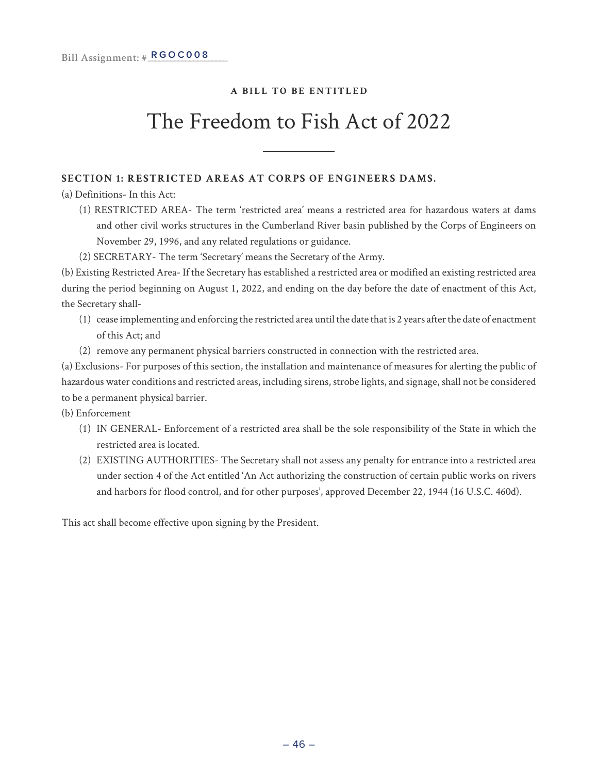### The Freedom to Fish Act of 2022

#### **SECTION 1: RESTRICTED AREAS AT CORPS OF ENGINEERS DAMS.**

(a) Definitions- In this Act:

- (1) RESTRICTED AREA- The term 'restricted area' means a restricted area for hazardous waters at dams and other civil works structures in the Cumberland River basin published by the Corps of Engineers on November 29, 1996, and any related regulations or guidance.
- (2) SECRETARY- The term 'Secretary' means the Secretary of the Army.

(b) Existing Restricted Area- If the Secretary has established a restricted area or modified an existing restricted area during the period beginning on August 1, 2022, and ending on the day before the date of enactment of this Act, the Secretary shall-

- (1) cease implementing and enforcing the restricted area until the date that is 2 years after the date of enactment of this Act; and
- (2) remove any permanent physical barriers constructed in connection with the restricted area.

(a) Exclusions- For purposes of this section, the installation and maintenance of measures for alerting the public of hazardous water conditions and restricted areas, including sirens, strobe lights, and signage, shall not be considered to be a permanent physical barrier.

- (b) Enforcement
	- (1) IN GENERAL- Enforcement of a restricted area shall be the sole responsibility of the State in which the restricted area is located.
	- (2) EXISTING AUTHORITIES- The Secretary shall not assess any penalty for entrance into a restricted area under section 4 of the Act entitled 'An Act authorizing the construction of certain public works on rivers and harbors for flood control, and for other purposes', approved December 22, 1944 (16 U.S.C. 460d).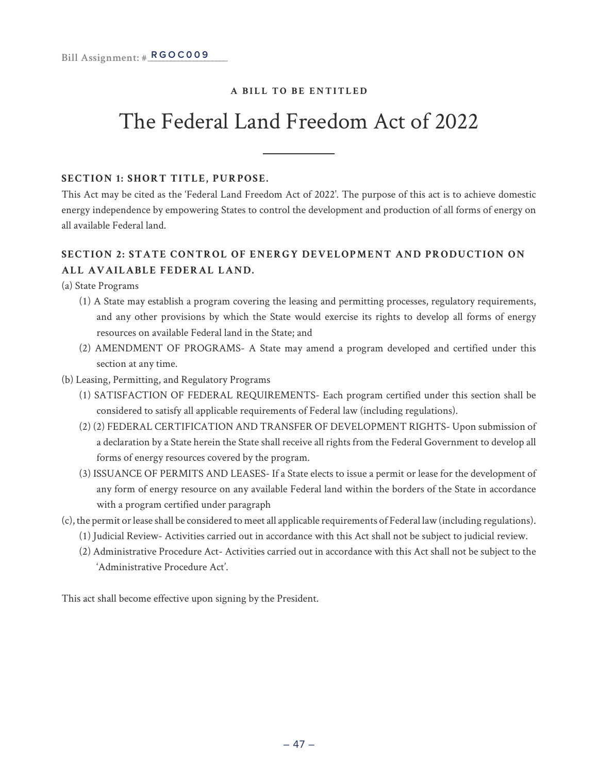### The Federal Land Freedom Act of 2022

#### **SECTION 1: SHORT TITLE, PURPOSE.**

This Act may be cited as the 'Federal Land Freedom Act of 2022'. The purpose of this act is to achieve domestic energy independence by empowering States to control the development and production of all forms of energy on all available Federal land.

#### **SECTION 2: STATE CONTROL OF ENERGY DEVELOPMENT AND PRODUCTION ON ALL AVAILABLE FEDERAL LAND.**

(a) State Programs

- (1) A State may establish a program covering the leasing and permitting processes, regulatory requirements, and any other provisions by which the State would exercise its rights to develop all forms of energy resources on available Federal land in the State; and
- (2) AMENDMENT OF PROGRAMS- A State may amend a program developed and certified under this section at any time.
- (b) Leasing, Permitting, and Regulatory Programs
	- (1) SATISFACTION OF FEDERAL REQUIREMENTS- Each program certified under this section shall be considered to satisfy all applicable requirements of Federal law (including regulations).
	- (2) (2) FEDERAL CERTIFICATION AND TRANSFER OF DEVELOPMENT RIGHTS- Upon submission of a declaration by a State herein the State shall receive all rights from the Federal Government to develop all forms of energy resources covered by the program.
	- (3) ISSUANCE OF PERMITS AND LEASES- If a State elects to issue a permit or lease for the development of any form of energy resource on any available Federal land within the borders of the State in accordance with a program certified under paragraph
- (c), the permit or lease shall be considered to meet all applicable requirements of Federal law (including regulations).
	- (1) Judicial Review- Activities carried out in accordance with this Act shall not be subject to judicial review.
	- (2) Administrative Procedure Act- Activities carried out in accordance with this Act shall not be subject to the 'Administrative Procedure Act'.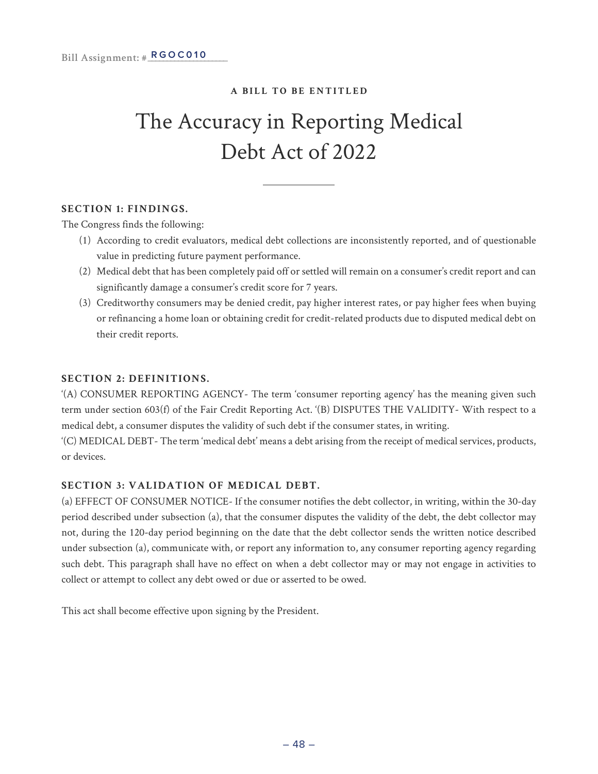### The Accuracy in Reporting Medical Debt Act of 2022

#### **SECTION 1: FINDINGS.**

The Congress finds the following:

- (1) According to credit evaluators, medical debt collections are inconsistently reported, and of questionable value in predicting future payment performance.
- (2) Medical debt that has been completely paid off or settled will remain on a consumer's credit report and can significantly damage a consumer's credit score for 7 years.
- (3) Creditworthy consumers may be denied credit, pay higher interest rates, or pay higher fees when buying or refinancing a home loan or obtaining credit for credit-related products due to disputed medical debt on their credit reports.

#### **SECTION 2: DEFINITIONS.**

'(A) CONSUMER REPORTING AGENCY- The term 'consumer reporting agency' has the meaning given such term under section 603(f) of the Fair Credit Reporting Act. '(B) DISPUTES THE VALIDITY- With respect to a medical debt, a consumer disputes the validity of such debt if the consumer states, in writing.

'(C) MEDICAL DEBT- The term 'medical debt' means a debt arising from the receipt of medical services, products, or devices.

#### **SECTION 3: VALIDATION OF MEDICAL DEBT.**

(a) EFFECT OF CONSUMER NOTICE- If the consumer notifies the debt collector, in writing, within the 30-day period described under subsection (a), that the consumer disputes the validity of the debt, the debt collector may not, during the 120-day period beginning on the date that the debt collector sends the written notice described under subsection (a), communicate with, or report any information to, any consumer reporting agency regarding such debt. This paragraph shall have no effect on when a debt collector may or may not engage in activities to collect or attempt to collect any debt owed or due or asserted to be owed.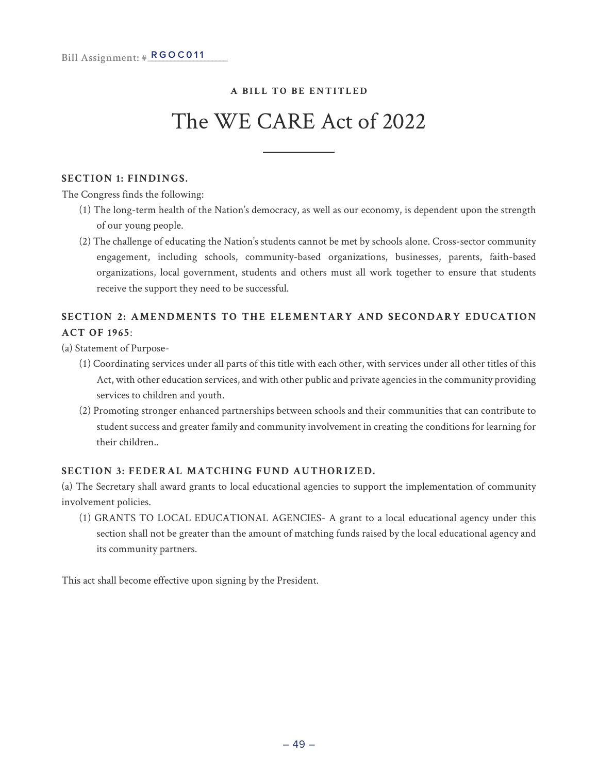### The WE CARE Act of 2022

#### **SECTION 1: FINDINGS.**

The Congress finds the following:

- (1) The long-term health of the Nation's democracy, as well as our economy, is dependent upon the strength of our young people.
- (2) The challenge of educating the Nation's students cannot be met by schools alone. Cross-sector community engagement, including schools, community-based organizations, businesses, parents, faith-based organizations, local government, students and others must all work together to ensure that students receive the support they need to be successful.

#### **SECTION 2: AMENDMENTS TO THE ELEMENTARY AND SECONDARY EDUCATION ACT OF 1965**:

(a) Statement of Purpose-

- (1) Coordinating services under all parts of this title with each other, with services under all other titles of this Act, with other education services, and with other public and private agencies in the community providing services to children and youth.
- (2) Promoting stronger enhanced partnerships between schools and their communities that can contribute to student success and greater family and community involvement in creating the conditions for learning for their children..

#### **SECTION 3: FEDERAL MATCHING FUND AUTHORIZED.**

(a) The Secretary shall award grants to local educational agencies to support the implementation of community involvement policies.

(1) GRANTS TO LOCAL EDUCATIONAL AGENCIES- A grant to a local educational agency under this section shall not be greater than the amount of matching funds raised by the local educational agency and its community partners.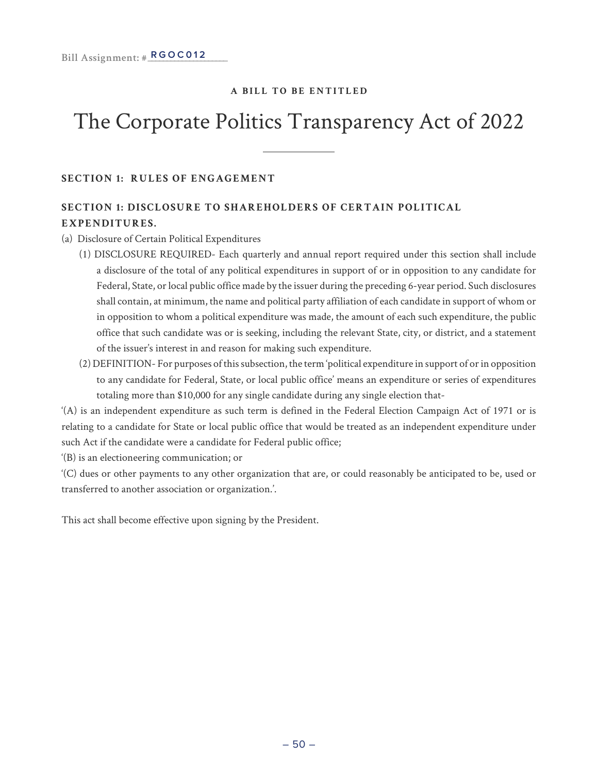### The Corporate Politics Transparency Act of 2022

**SECTION 1: RULES OF ENGAGEMENT**

#### **SECTION 1: DISCLOSURE TO SHAREHOLDERS OF CERTAIN POLITICAL EXPENDITURES.**

#### (a) Disclosure of Certain Political Expenditures

- (1) DISCLOSURE REQUIRED- Each quarterly and annual report required under this section shall include a disclosure of the total of any political expenditures in support of or in opposition to any candidate for Federal, State, or local public office made by the issuer during the preceding 6-year period. Such disclosures shall contain, at minimum, the name and political party affiliation of each candidate in support of whom or in opposition to whom a political expenditure was made, the amount of each such expenditure, the public office that such candidate was or is seeking, including the relevant State, city, or district, and a statement of the issuer's interest in and reason for making such expenditure.
- (2) DEFINITION- For purposes of this subsection, the term 'political expenditure in support of or in opposition to any candidate for Federal, State, or local public office' means an expenditure or series of expenditures totaling more than \$10,000 for any single candidate during any single election that-

'(A) is an independent expenditure as such term is defined in the Federal Election Campaign Act of 1971 or is relating to a candidate for State or local public office that would be treated as an independent expenditure under such Act if the candidate were a candidate for Federal public office;

'(B) is an electioneering communication; or

'(C) dues or other payments to any other organization that are, or could reasonably be anticipated to be, used or transferred to another association or organization.'.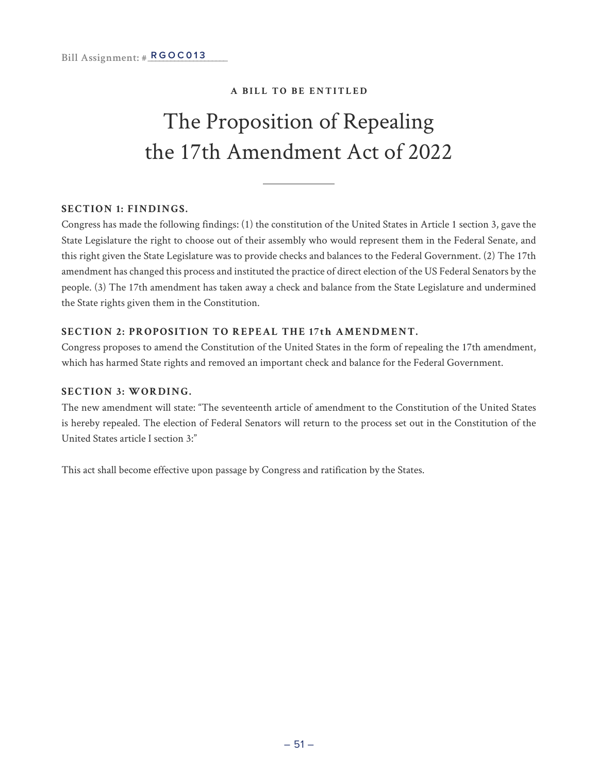### The Proposition of Repealing the 17th Amendment Act of 2022

#### **SECTION 1: FINDINGS.**

Congress has made the following findings: (1) the constitution of the United States in Article 1 section 3, gave the State Legislature the right to choose out of their assembly who would represent them in the Federal Senate, and this right given the State Legislature was to provide checks and balances to the Federal Government. (2) The 17th amendment has changed this process and instituted the practice of direct election of the US Federal Senators by the people. (3) The 17th amendment has taken away a check and balance from the State Legislature and undermined the State rights given them in the Constitution.

#### **SECTION 2: PROPOSITION TO REPEAL THE 17th AMENDMENT.**

Congress proposes to amend the Constitution of the United States in the form of repealing the 17th amendment, which has harmed State rights and removed an important check and balance for the Federal Government.

#### **SECTION 3: WORDING.**

The new amendment will state: "The seventeenth article of amendment to the Constitution of the United States is hereby repealed. The election of Federal Senators will return to the process set out in the Constitution of the United States article I section 3:"

This act shall become effective upon passage by Congress and ratification by the States.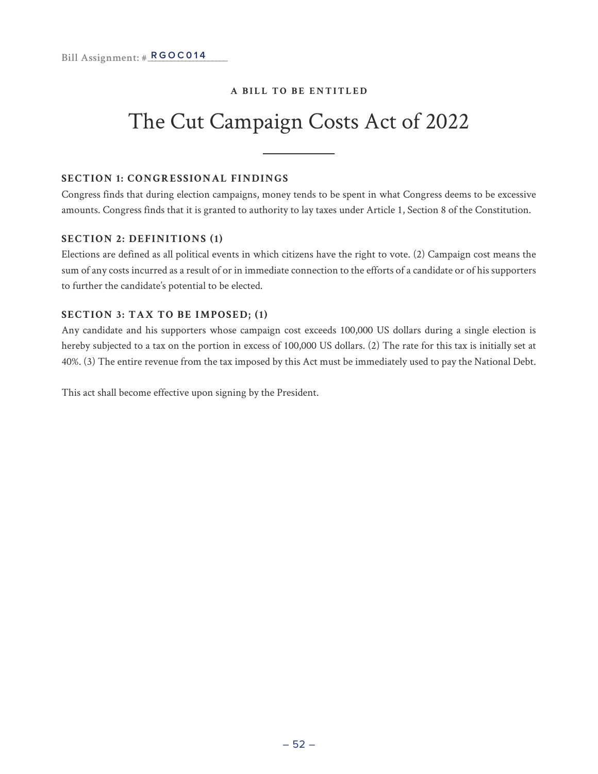### The Cut Campaign Costs Act of 2022

#### **SECTION 1: CONGRESSIONAL FINDINGS**

Congress finds that during election campaigns, money tends to be spent in what Congress deems to be excessive amounts. Congress finds that it is granted to authority to lay taxes under Article 1, Section 8 of the Constitution.

#### **SECTION 2: DEFINITIONS (1)**

Elections are defined as all political events in which citizens have the right to vote. (2) Campaign cost means the sum of any costs incurred as a result of or in immediate connection to the efforts of a candidate or of his supporters to further the candidate's potential to be elected.

#### **SECTION 3: TAX TO BE IMPOSED; (1)**

Any candidate and his supporters whose campaign cost exceeds 100,000 US dollars during a single election is hereby subjected to a tax on the portion in excess of 100,000 US dollars. (2) The rate for this tax is initially set at 40%. (3) The entire revenue from the tax imposed by this Act must be immediately used to pay the National Debt.